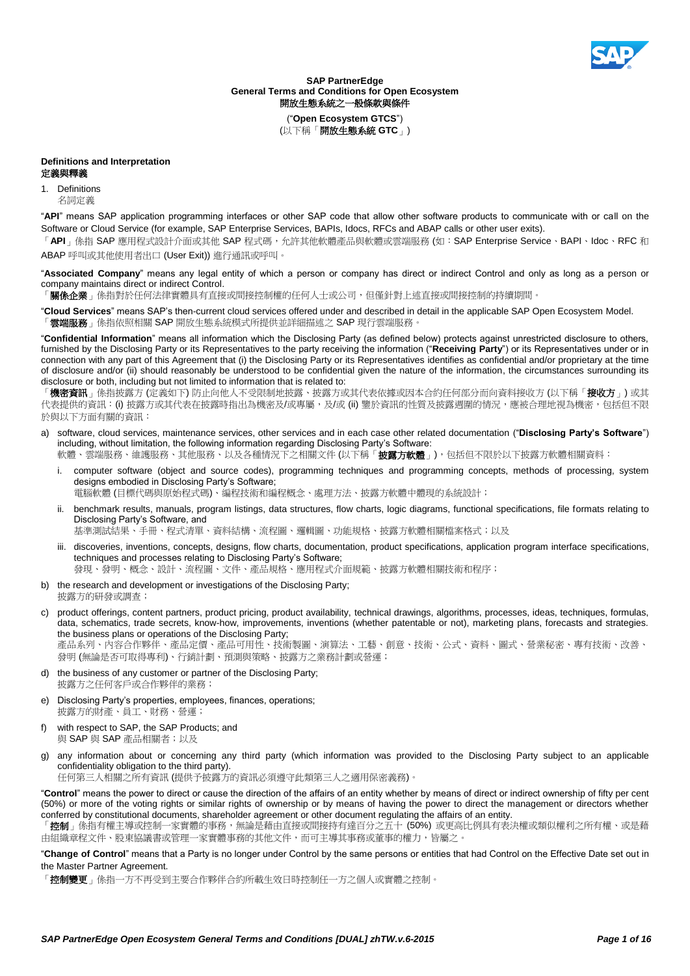

**SAP PartnerEdge General Terms and Conditions for Open Ecosystem** 開放生態系統之一般條款與條件

("**Open Ecosystem GTCS**") (以下稱「開放生態系統 **GTC**」)

# **Definitions and Interpretation**

# 定義與釋義

# 1. Definitions

名詞定義

"**API**" means SAP application programming interfaces or other SAP code that allow other software products to communicate with or call on the Software or Cloud Service (for example, SAP Enterprise Services, BAPIs, Idocs, RFCs and ABAP calls or other user exits).

「API」係指 SAP 應用程式設計介面或其他 SAP 程式碼,允許其他軟體產品與軟體或雲端服務 (如: SAP Enterprise Service、BAPI、Idoc、RFC 和 ABAP 呼叫或其他使用者出口 (User Exit)) 進行通訊或呼叫。

"**Associated Company**" means any legal entity of which a person or company has direct or indirect Control and only as long as a person or company maintains direct or indirect Control.

**關係企業**」係指對於任何法律實體具有直接或間接控制權的任何人士或公司,但僅針對上述直接或間接控制的持續期間。

"**Cloud Services**" means SAP's then-current cloud services offered under and described in detail in the applicable SAP Open Ecosystem Model. 「雲端服務」係指依照相關 SAP 開放生態系統模式所提供並詳細描述之 SAP 現行雲端服務

"**Confidential Information**" means all information which the Disclosing Party (as defined below) protects against unrestricted disclosure to others, furnished by the Disclosing Party or its Representatives to the party receiving the information ("**Receiving Party**") or its Representatives under or in connection with any part of this Agreement that (i) the Disclosing Party or its Representatives identifies as confidential and/or proprietary at the time of disclosure and/or (ii) should reasonably be understood to be confidential given the nature of the information, the circumstances surrounding its disclosure or both, including but not limited to information that is related to:

「**機密資訊**」係指披露方 (定義如下) 防止向他人不受限制地披露、披露方或其代表依據或因本合約任何部分而向資料接收方 (以下稱「**接收方**」) 或其 代表提供的資訊: (i) 披露方或其代表在披露時指出為機密及/或專屬,及/或 (ii) 鑒於資訊的性質及披露週圍的情況,應被合理地視為機密,包括但不限 於與以下方面有關的資訊:

a) software, cloud services, maintenance services, other services and in each case other related documentation ("**Disclosing Party's Software**") including, without limitation, the following information regarding Disclosing Party's Software:

軟體、雲端服務、維護服務、其他服務、以及各種情況下之相關文件 (以下稱「**披露方軟體**」),包括但不限於以下披露方軟體相關資料:

i. computer software (object and source codes), programming techniques and programming concepts, methods of processing, system designs embodied in Disclosing Party's Software;

電腦軟體 (目標代碼與原始程式碼)、編程技術和編程概念、處理方法、披露方軟體中體現的系統設計;

ii. benchmark results, manuals, program listings, data structures, flow charts, logic diagrams, functional specifications, file formats relating to Disclosing Party's Software, and

基準測試結果、手冊、程式清單、資料結構、流程圖、邏輯圖、功能規格、披露方軟體相關檔案格式;以及

iii. discoveries, inventions, concepts, designs, flow charts, documentation, product specifications, application program interface specifications, techniques and processes relating to Disclosing Party's Software;

發現、發明、概念、設計、流程圖、文件、產品規格、應用程式介面規範、披露方軟體相關技術和程序;

b) the research and development or investigations of the Disclosing Party; 披露方的研發或調查;

c) product offerings, content partners, product pricing, product availability, technical drawings, algorithms, processes, ideas, techniques, formulas, data, schematics, trade secrets, know-how, improvements, inventions (whether patentable or not), marketing plans, forecasts and strategies. the business plans or operations of the Disclosing Party; 產品系列、內容合作夥伴、產品定價、產品可用性、技術製圖、演算法、工藝、創意、技術、公式、資料、圖式、營業秘密、專有技術、改善、

發明 (無論是否可取得專利)、行銷計劃、預測與策略、披露方之業務計劃或營運;

- d) the business of any customer or partner of the Disclosing Party; 披露方之任何客戶或合作夥伴的業務;
- e) Disclosing Party's properties, employees, finances, operations; 披露方的財產、員工、財務、營運;

f) with respect to SAP, the SAP Products; and

- 與 SAP 與 SAP 產品相關者;以及
- g) any information about or concerning any third party (which information was provided to the Disclosing Party subject to an applicable confidentiality obligation to the third party).

任何第三人相關之所有資訊 (提供予披露方的資訊必須遵守此類第三人之適用保密義務)。

"**Control**" means the power to direct or cause the direction of the affairs of an entity whether by means of direct or indirect ownership of fifty per cent (50%) or more of the voting rights or similar rights of ownership or by means of having the power to direct the management or directors whether conferred by constitutional documents, shareholder agreement or other document regulating the affairs of an entity.

控制 | 係指有權主導或控制一家實體的事務,無論是藉由直接或間接持有達百分之五十 (50%) 或更高比例具有表決權或類似權利之所有權、或是藉 由組織章程文件、股東協議書或管理一家實體事務的其他文件,而可主導其事務或董事的權力,皆屬之。

"**Change of Control**" means that a Party is no longer under Control by the same persons or entities that had Control on the Effective Date set out in the Master Partner Agreement.

「控制變更」係指一方不再受到主要合作夥伴合約所載生效日時控制任一方之個人或實體之控制。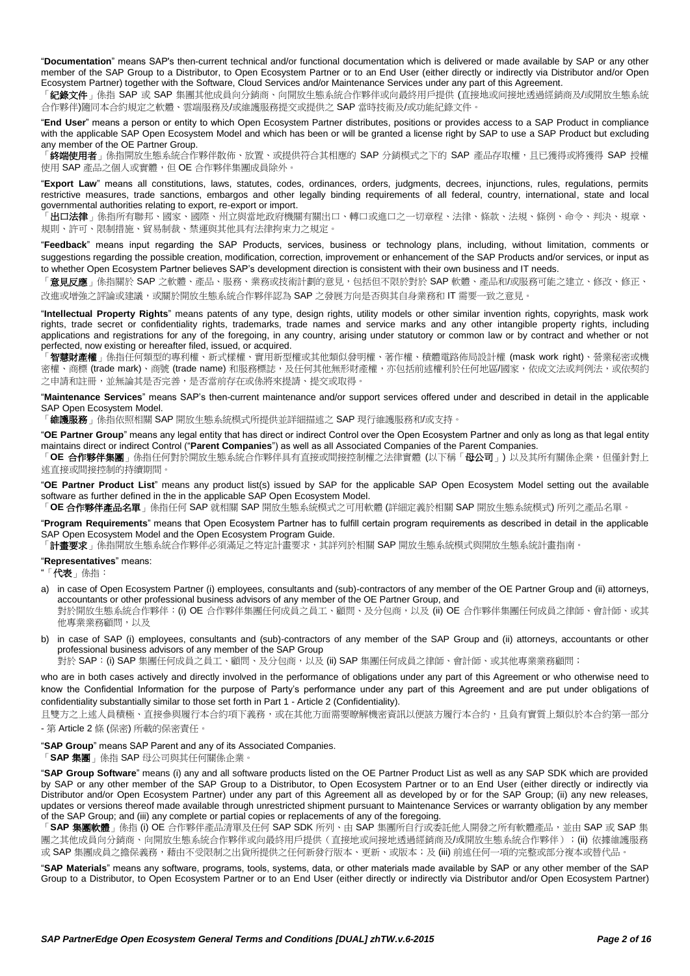"**Documentation**" means SAP's then-current technical and/or functional documentation which is delivered or made available by SAP or any other member of the SAP Group to a Distributor, to Open Ecosystem Partner or to an End User (either directly or indirectly via Distributor and/or Open Ecosystem Partner) together with the Software, Cloud Services and/or Maintenance Services under any part of this Agreement.

「**紀錄文件**」 係指 SAP 或 SAP 集團其他成員向分銷商、向開放生態系統合作夥伴或向最終用戶提供 (直接地或间接地透過經銷商及/或開放生態系統 合作夥伴)隨同本合約規定之軟體、雲端服務及/或維護服務提交或提供之 SAP 當時技術及/或功能紀錄文件。

"**End User**" means a person or entity to which Open Ecosystem Partner distributes, positions or provides access to a SAP Product in compliance with the applicable SAP Open Ecosystem Model and which has been or will be granted a license right by SAP to use a SAP Product but excluding any member of the OE Partner Group.

「**終端使用者**」係指開放生態系統合作夥伴散佈、放置、或提供符合其相應的 SAP 分銷模式之下的 SAP 產品存取權,且已獲得或將獲得 SAP 授權 使用 SAP 產品之個人或實體,但 OE 合作夥伴集團成員除外

"**Export Law**" means all constitutions, laws, statutes, codes, ordinances, orders, judgments, decrees, injunctions, rules, regulations, permits restrictive measures, trade sanctions, embargos and other legally binding requirements of all federal, country, international, state and local governmental authorities relating to export, re-export or import.

「出口法律」係指所有聯邦、國家、國際、州立與當地政府機關有關出口、轉口或進口之一切章程、法律、條款、法規、條例、命令、判決、規章、 規則、許可、限制措施、貿易制裁、禁運與其他具有法律拘束力之規定。

"**Feedback**" means input regarding the SAP Products, services, business or technology plans, including, without limitation, comments or suggestions regarding the possible creation, modification, correction, improvement or enhancement of the SAP Products and/or services, or input as to whether Open Ecosystem Partner believes SAP's development direction is consistent with their own business and IT needs.

「**意見反應**」係指關於 SAP 之軟體、產品、服務、業務或技術計劃的意見,包括但不限於對於 SAP 軟體、產品和/或服務可能之建立、修改、修正、 改進或增強之評論或建議,或關於開放生態系統合作夥伴認為 SAP 之發展方向是否與其自身業務和 IT 需要一致之意見。

"**Intellectual Property Rights**" means patents of any type, design rights, utility models or other similar invention rights, copyrights, mask work rights, trade secret or confidentiality rights, trademarks, trade names and service marks and any other intangible property rights, including applications and registrations for any of the foregoing, in any country, arising under statutory or common law or by contract and whether or not perfected, now existing or hereafter filed, issued, or acquired.

「智慧財產權」係指任何類型的專利權、新式樣權、實用新型權或其他類似發明權、著作權、積體電路佈局設計權 (mask work right)、營業秘密或機 密權、商標 (trade mark)、商號 (trade name) 和服務標誌,及任何其他無形財產權,亦包括前述權利於任何地區/國家,依成文法或判例法,或依契約 之申請和註冊,並無論其是否完善,是否當前存在或係將來提請、提交或取得。

"**Maintenance Services**" means SAP's then-current maintenance and/or support services offered under and described in detail in the applicable SAP Open Ecosystem Model.

「維護服務」係指依照相關 SAP 開放生態系統模式所提供並詳細描述之 SAP 現行維護服務和/或支持。

"**OE Partner Group**" means any legal entity that has direct or indirect Control over the Open Ecosystem Partner and only as long as that legal entity maintains direct or indirect Control ("**Parent Companies**") as well as all Associated Companies of the Parent Companies.

「**OE** 合作夥伴集團」係指任何對於開放生態系統合作夥伴具有直接或間接控制權之法律實體 (以下稱「母公司」) 以及其所有關係企業,但僅針對上 述直接或間接控制的持續期間。

"**OE Partner Product List**" means any product list(s) issued by SAP for the applicable SAP Open Ecosystem Model setting out the available software as further defined in the in the applicable SAP Open Ecosystem Model.

「**OE** 合作夥伴產品名單」係指任何 SAP 就相關 SAP 開放生態系統模式之可用軟體 (詳細定義於相關 SAP 開放生態系統模式) 所列之產品名單。

"**Program Requirements**" means that Open Ecosystem Partner has to fulfill certain program requirements as described in detail in the applicable SAP Open Ecosystem Model and the Open Ecosystem Program Guide.

「**計畫要求**」係指開放生態系統合作夥伴必須滿足之特定計畫要求,其詳列於相關 SAP 開放生態系統模式與開放生態系統計畫指南。

#### "**Representatives**" means:

"「代表」係指:

- a) in case of Open Ecosystem Partner (i) employees, consultants and (sub)-contractors of any member of the OE Partner Group and (ii) attorneys, accountants or other professional business advisors of any member of the OE Partner Group, and 對於開放生態系統合作夥伴:(i) OE 合作夥伴集團任何成員之員工、顧問、及分包商,以及 (ii) OE 合作夥伴集團任何成員之律師、會計師、或其 他專業業務顧問,以及
- b) in case of SAP (i) employees, consultants and (sub)-contractors of any member of the SAP Group and (ii) attorneys, accountants or other professional business advisors of any member of the SAP Group

對於 SAP: (i) SAP 集團任何成員之員工、顧問、及分包商,以及 (ii) SAP 集團任何成員之律師、會計師、或其他專業業務顧問;

who are in both cases actively and directly involved in the performance of obligations under any part of this Agreement or who otherwise need to know the Confidential Information for the purpose of Party's performance under any part of this Agreement and are put under obligations of confidentiality substantially similar to those set forth in Part 1 - [Article 2](#page-3-0) (Confidentiality).

且雙方之上述人員積極、直接參與履行本合約項下義務,或在其他方面需要瞭解機密資訊以便該方履行本合約,且負有實質上類似於本合約第一部分 - 第 [Article 2](#page-3-0) 條 (保密) 所載的保密責任

"**SAP Group**" means SAP Parent and any of its Associated Companies.

「**SAP** 集團」係指 SAP 母公司與其任何關係企業。

"**SAP Group Software**" means (i) any and all software products listed on the OE Partner Product List as well as any SAP SDK which are provided by SAP or any other member of the SAP Group to a Distributor, to Open Ecosystem Partner or to an End User (either directly or indirectly via Distributor and/or Open Ecosystem Partner) under any part of this Agreement all as developed by or for the SAP Group; (ii) any new releases, updates or versions thereof made available through unrestricted shipment pursuant to Maintenance Services or warranty obligation by any member of the SAP Group; and (iii) any complete or partial copies or replacements of any of the foregoing.

「**SAP** 集團軟體」係指 (i) OE 合作夥伴產品清單及任何 SAP SDK 所列、由 SAP 集團所自行或委託他人開發之所有軟體產品,並由 SAP 或 SAP 集 團之其他成員向分銷商、向開放生態系統合作夥伴或向最終用戶提供(直接地或间接地透過經銷商及/或開放生態系統合作夥伴);(ii) 依據維護服務 或 SAP 集團成員之擔保義務,藉由不受限制之出貨所提供之任何新發行版本、更新、或版本;及 (iii) 前述任何一項的完整或部分複本或替代品。

"**SAP Materials**" means any software, programs, tools, systems, data, or other materials made available by SAP or any other member of the SAP Group to a Distributor, to Open Ecosystem Partner or to an End User (either directly or indirectly via Distributor and/or Open Ecosystem Partner)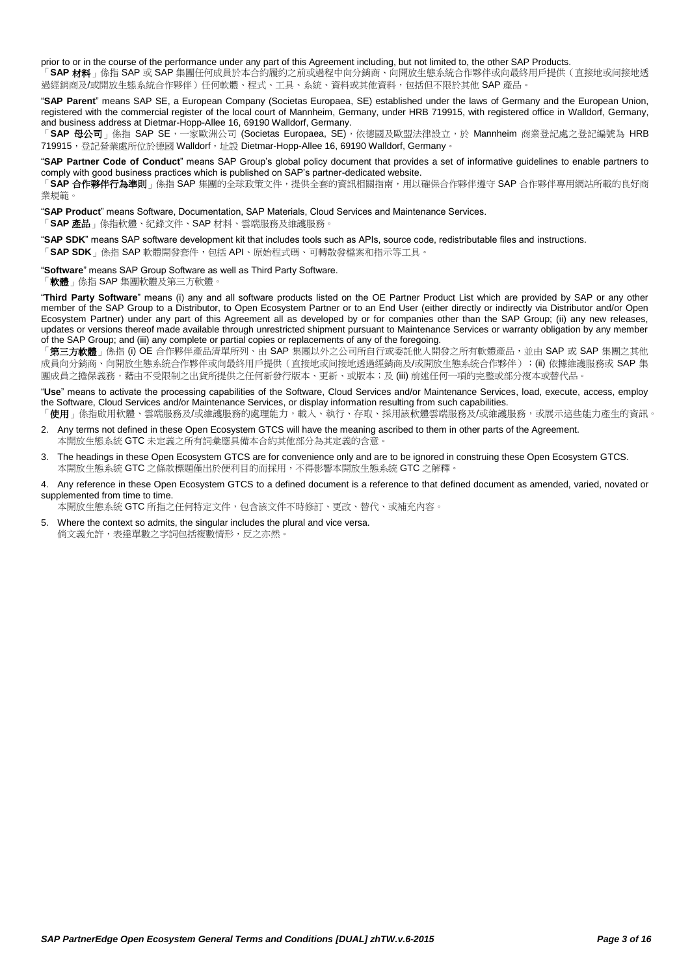prior to or in the course of the performance under any part of this Agreement including, but not limited to, the other SAP Products.

「**SAP** 材料」係指 SAP 或 SAP 集團任何成員於本合約履約之前或過程中向分銷商、向開放生態系統合作夥伴或向最終用戶提供(直接地或间接地透 過經銷商及/或開放生態系統合作夥伴)任何軟體、程式、工具、系統、資料或其他資料,包括但不限於其他 SAP 產品。

"**SAP Parent**" means SAP SE, a European Company (Societas Europaea, SE) established under the laws of Germany and the European Union, registered with the commercial register of the local court of Mannheim, Germany, under HRB 719915, with registered office in Walldorf, Germany, and business address at Dietmar-Hopp-Allee 16, 69190 Walldorf, Germany.

「SAP 母公司」係指 SAP SE,一家歐洲公司(Societas Europaea, SE),依德國及歐盟法律設立,於 Mannheim 商業登記處之登記編號為 HRB 719915, 登記營業處所位於德國 Walldorf, 址設 Dietmar-Hopp-Allee 16, 69190 Walldorf, Germany。

"**SAP Partner Code of Conduct**" means SAP Group's global policy document that provides a set of informative guidelines to enable partners to comply with good business practices which is published on SAP's partner-dedicated website.

「**SAP 合作夥伴行為準則**」係指 SAP 集團的全球政策文件,提供全套的資訊相關指南,用以確保合作夥伴遵守 SAP 合作夥伴專用網站所載的良好商 業規範。

"**SAP Product**" means Software, Documentation, SAP Materials, Cloud Services and Maintenance Services.

「**SAP** 產品」係指軟體、紀錄文件、SAP 材料、雲端服務及維護服務。

"**SAP SDK**" means SAP software development kit that includes tools such as APIs, source code, redistributable files and instructions.

「**SAP SDK**」係指 SAP 軟體開發套件,包括 API、原始程式碼、可轉散發檔案和指示等工具。

"**Software**" means SAP Group Software as well as Third Party Software.

「**軟體**」係指 SAP 集團軟體及第三方軟體

"**Third Party Software**" means (i) any and all software products listed on the OE Partner Product List which are provided by SAP or any other member of the SAP Group to a Distributor, to Open Ecosystem Partner or to an End User (either directly or indirectly via Distributor and/or Open Ecosystem Partner) under any part of this Agreement all as developed by or for companies other than the SAP Group; (ii) any new releases, updates or versions thereof made available through unrestricted shipment pursuant to Maintenance Services or warranty obligation by any member of the SAP Group; and (iii) any complete or partial copies or replacements of any of the foregoing.

「**第三方軟體**」係指 (i) OE 合作夥伴產品清單所列、由 SAP 集團以外之公司所自行或委託他人開發之所有軟體產品,並由 SAP 或 SAP 集團之其他 成員向分銷商、向開放生態系統合作夥伴或向最終用戶提供(直接地或间接地透過經銷商及/或開放生態系統合作夥伴);(ii) 依據維護服務或 SAP 集 團成員之擔保義務,藉由不受限制之出貨所提供之任何新發行版本、更新、或版本;及 (iii) 前述任何一項的完整或部分複本或替代品

"**Use**" means to activate the processing capabilities of the Software, Cloud Services and/or Maintenance Services, load, execute, access, employ the Software, Cloud Services and/or Maintenance Services, or display information resulting from such capabilities.

「**使用**」係指啟用軟體、雲端服務及/或維護服務的處理能力,載入、執行、存取、採用該軟體雲端服務及/或維護服務,或展示這些能力產生的資訊。 2. Any terms not defined in these Open Ecosystem GTCS will have the meaning ascribed to them in other parts of the Agreement.

本開放生態系統 GTC 未定義之所有詞彙應具備本合約其他部分為其定義的含意

3. The headings in these Open Ecosystem GTCS are for convenience only and are to be ignored in construing these Open Ecosystem GTCS. 本開放生態系統 GTC 之條款標題僅出於便利目的而採用,不得影響本開放生態系統 GTC 之解釋。

4. Any reference in these Open Ecosystem GTCS to a defined document is a reference to that defined document as amended, varied, novated or supplemented from time to time.

本開放生態系統 GTC 所指之任何特定文件,包含該文件不時修訂、更改、替代、或補充內容。

5. Where the context so admits, the singular includes the plural and vice versa. 倘文義允許,表達單數之字詞包括複數情形,反之亦然。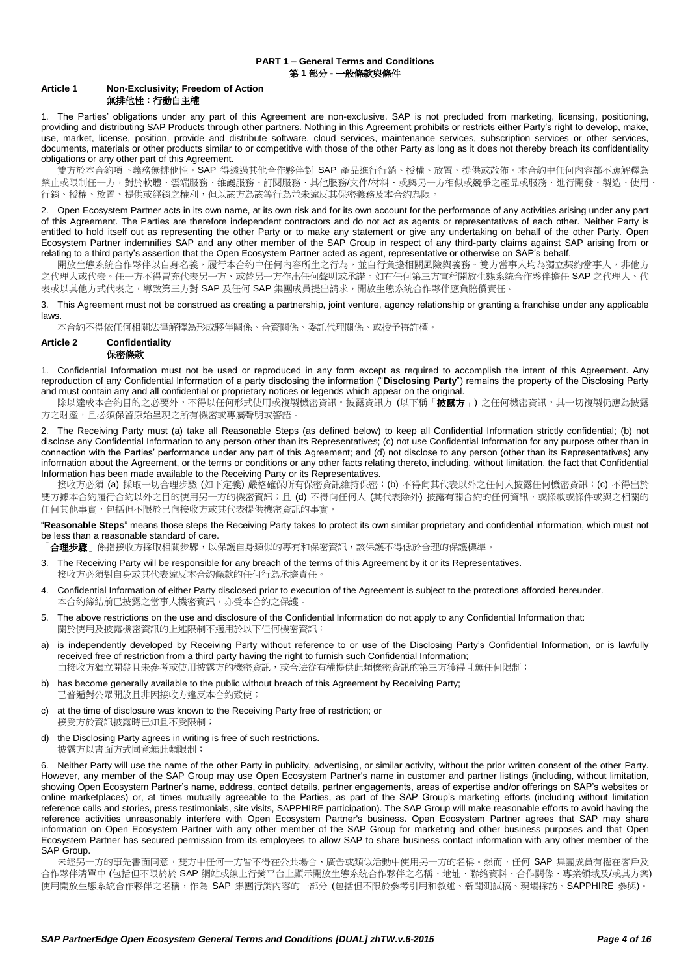## **PART 1 – General Terms and Conditions** 第 **1** 部分 **-** 一般條款與條件

# **Article 1 Non-Exclusivity; Freedom of Action** 無排他性;行動自主權

1. The Parties' obligations under any part of this Agreement are non-exclusive. SAP is not precluded from marketing, licensing, positioning, providing and distributing SAP Products through other partners. Nothing in this Agreement prohibits or restricts either Party's right to develop, make, use, market, license, position, provide and distribute software, cloud services, maintenance services, subscription services or other services, documents, materials or other products similar to or competitive with those of the other Party as long as it does not thereby breach its confidentiality obligations or any other part of this Agreement.

雙方於本合約項下義務無排他性。SAP 得透過其他合作夥伴對 SAP 產品進行行銷、授權、放置、提供或散佈。本合約中任何內容都不應解釋為 禁止或限制任一方,對於軟體、雲端服務、維護服務、訂閱服務、其他服務/文件/材料、或與另一方相似或競爭之產品或服務,進行開發、製造、使用、 行銷、授權、放置、提供或經銷之權利,但以該方為該等行為並未違反其保密義務及本合約為限。

2. Open Ecosystem Partner acts in its own name, at its own risk and for its own account for the performance of any activities arising under any part of this Agreement. The Parties are therefore independent contractors and do not act as agents or representatives of each other. Neither Party is entitled to hold itself out as representing the other Party or to make any statement or give any undertaking on behalf of the other Party. Open Ecosystem Partner indemnifies SAP and any other member of the SAP Group in respect of any third-party claims against SAP arising from or relating to a third party's assertion that the Open Ecosystem Partner acted as agent, representative or otherwise on SAP's behalf.

開放生態系統合作夥伴以自身名義,履行本合約中任何內容所生之行為,並自行負擔相關風險與義務。雙方當事人均為獨立契約當事人,非他方 之代理人或代表。任一方不得冒充代表另一方、或替另一方作出任何聲明或承諾。如有任何第三方宣稱開放生態系統合作夥伴擔任 SAP 之代理人、代 表或以其他方式代表之,導致第三方對 SAP 及任何 SAP 集團成員提出請求,開放生態系統合作夥伴應負賠償責任。

3. This Agreement must not be construed as creating a partnership, joint venture, agency relationship or granting a franchise under any applicable laws.

本合約不得依任何相關法律解釋為形成夥伴關係、合資關係、委託代理關係、或授予特許權。

#### <span id="page-3-0"></span>**Article 2 Confidentiality** 保密條款

1. Confidential Information must not be used or reproduced in any form except as required to accomplish the intent of this Agreement. Any reproduction of any Confidential Information of a party disclosing the information ("**Disclosing Party**") remains the property of the Disclosing Party and must contain any and all confidential or proprietary notices or legends which appear on the original.

除以達成本合約目的之必要外,不得以任何形式使用或複製機密資訊。披露資訊方 (以下稱「**披露方**」) 之任何機密資訊,其一切複製仍應為披露 方之財產,且必須保留原始呈現之所有機密或專屬聲明或警語。

2. The Receiving Party must (a) take all Reasonable Steps (as defined below) to keep all Confidential Information strictly confidential; (b) not disclose any Confidential Information to any person other than its Representatives; (c) not use Confidential Information for any purpose other than in connection with the Parties' performance under any part of this Agreement; and (d) not disclose to any person (other than its Representatives) any information about the Agreement, or the terms or conditions or any other facts relating thereto, including, without limitation, the fact that Confidential Information has been made available to the Receiving Party or its Representatives.

接收方必須 (a) 採取一切合理步驟 (如下定義) 嚴格確保所有保密資訊維持保密; (b) 不得向其代表以外之任何人披露任何機密資訊; (c) 不得出於 雙方據本合約履行合約以外之目的使用另一方的機密資訊;且 (d) 不得向任何人 (其代表除外) 披露有關合約的任何資訊,或條款或條件或與之相關的 任何其他事實,包括但不限於已向接收方或其代表提供機密資訊的事實。

"**Reasonable Steps**" means those steps the Receiving Party takes to protect its own similar proprietary and confidential information, which must not be less than a reasonable standard of care.

「**合理步驟**」係指接收方採取相關步驟,以保護自身類似的專有和保密資訊,該保護不得低於合理的保護標準。

- 3. The Receiving Party will be responsible for any breach of the terms of this Agreement by it or its Representatives. 接收方必須對自身或其代表違反本合約條款的任何行為承擔責任。
- 4. Confidential Information of either Party disclosed prior to execution of the Agreement is subject to the protections afforded hereunder. 本合約締結前已披露之當事人機密資訊,亦受本合約之保護。
- 5. The above restrictions on the use and disclosure of the Confidential Information do not apply to any Confidential Information that: 關於使用及披露機密資訊的上述限制不適用於以下任何機密資訊:
- a) is independently developed by Receiving Party without reference to or use of the Disclosing Party's Confidential Information, or is lawfully received free of restriction from a third party having the right to furnish such Confidential Information; 由接收方獨立開發且未參考或使用披露方的機密資訊,或合法從有權提供此類機密資訊的第三方獲得且無任何限制;
- has become generally available to the public without breach of this Agreement by Receiving Party; 已普遍對公眾開放且非因接收方違反本合約致使;
- c) at the time of disclosure was known to the Receiving Party free of restriction; or 接受方於資訊披露時已知且不受限制;
- d) the Disclosing Party agrees in writing is free of such restrictions. 披露方以書面方式同意無此類限制;

6. Neither Party will use the name of the other Party in publicity, advertising, or similar activity, without the prior written consent of the other Party. However, any member of the SAP Group may use Open Ecosystem Partner's name in customer and partner listings (including, without limitation, showing Open Ecosystem Partner's name, address, contact details, partner engagements, areas of expertise and/or offerings on SAP's websites or online marketplaces) or, at times mutually agreeable to the Parties, as part of the SAP Group's marketing efforts (including without limitation reference calls and stories, press testimonials, site visits, SAPPHIRE participation). The SAP Group will make reasonable efforts to avoid having the reference activities unreasonably interfere with Open Ecosystem Partner's business. Open Ecosystem Partner agrees that SAP may share information on Open Ecosystem Partner with any other member of the SAP Group for marketing and other business purposes and that Open Ecosystem Partner has secured permission from its employees to allow SAP to share business contact information with any other member of the SAP Group.

未經另一方的事先書面同意,雙方中任何一方皆不得在公共場合、廣告或類似活動中使用另一方的名稱。然而,任何 SAP 集團成員有權在客戶及 合作夥伴清單中 (包括但不限於於 SAP 網站或線上行銷平台上顯示開放生態系統合作夥伴之名稱、地址、聯絡資料、合作關係、專業領域及/或其方案) 使用開放生態系統合作夥伴之名稱,作為 SAP 集團行銷內容的一部分 (包括但不限於參考引用和敘述、新聞測試稿、現場採訪、SAPPHIRE 參與)。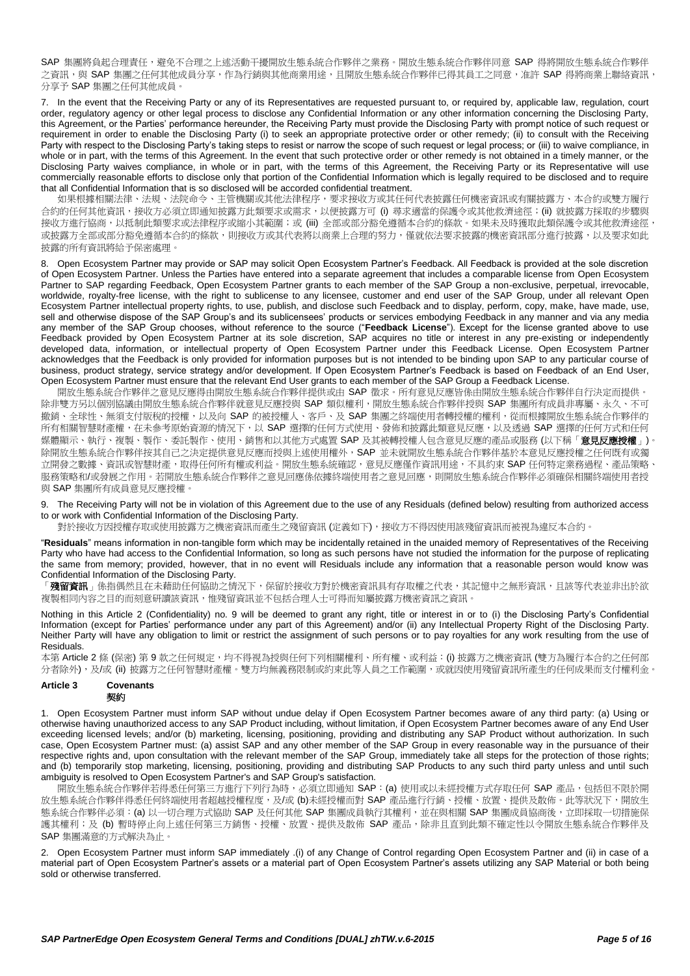SAP 集團將負起合理責任,避免不合理之上述活動干擾開放生態系統合作夥伴之業務。開放生態系統合作夥伴同意 SAP 得將開放生態系統合作夥伴 之資訊,與 SAP 集團之任何其他成員分享,作為行銷與其他商業用途,且開放生態系統合作夥伴已得其員工之同意,准許 SAP 得將商業上聯絡資訊, 分享予 SAP 集團之任何其他成員。

7. In the event that the Receiving Party or any of its Representatives are requested pursuant to, or required by, applicable law, regulation, court order, regulatory agency or other legal process to disclose any Confidential Information or any other information concerning the Disclosing Party, this Agreement, or the Parties' performance hereunder, the Receiving Party must provide the Disclosing Party with prompt notice of such request or requirement in order to enable the Disclosing Party (i) to seek an appropriate protective order or other remedy; (ii) to consult with the Receiving Party with respect to the Disclosing Party's taking steps to resist or narrow the scope of such request or legal process; or (iii) to waive compliance, in whole or in part, with the terms of this Agreement. In the event that such protective order or other remedy is not obtained in a timely manner, or the Disclosing Party waives compliance, in whole or in part, with the terms of this Agreement, the Receiving Party or its Representative will use commercially reasonable efforts to disclose only that portion of the Confidential Information which is legally required to be disclosed and to require that all Confidential Information that is so disclosed will be accorded confidential treatment.

如果根據相關法律、法規、法院命令、主管機關或其他法律程序,要求接收方或其任何代表披露任何機密資訊或有關披露方、本合約或雙方履行 合約的任何其他資訊,接收方必須立即通知披露方此類要求或需求,以便披露方可 (i) 尋求適當的保護令或其他救濟途徑;(ii) 就披露方採取的步驟與 接收方進行協商,以抵制此類要求或法律程序或縮小其範圍;或 (iii) 全部或部分豁免遵循本合約的條款。如果未及時獲取此類保護令或其他救濟途徑, 或披露方全部或部分豁免遵循本合約的條款,則接收方或其代表將以商業上合理的努力,僅就依法要求披露的機密資訊部分進行披露,以及要求如此 披露的所有資訊將給予保密處理。

8. Open Ecosystem Partner may provide or SAP may solicit Open Ecosystem Partner's Feedback. All Feedback is provided at the sole discretion of Open Ecosystem Partner. Unless the Parties have entered into a separate agreement that includes a comparable license from Open Ecosystem Partner to SAP regarding Feedback, Open Ecosystem Partner grants to each member of the SAP Group a non-exclusive, perpetual, irrevocable, worldwide, royalty-free license, with the right to sublicense to any licensee, customer and end user of the SAP Group, under all relevant Open Ecosystem Partner intellectual property rights, to use, publish, and disclose such Feedback and to display, perform, copy, make, have made, use, sell and otherwise dispose of the SAP Group's and its sublicensees' products or services embodying Feedback in any manner and via any media any member of the SAP Group chooses, without reference to the source ("**Feedback License**"). Except for the license granted above to use Feedback provided by Open Ecosystem Partner at its sole discretion, SAP acquires no title or interest in any pre-existing or independently developed data, information, or intellectual property of Open Ecosystem Partner under this Feedback License. Open Ecosystem Partner acknowledges that the Feedback is only provided for information purposes but is not intended to be binding upon SAP to any particular course of business, product strategy, service strategy and/or development. If Open Ecosystem Partner's Feedback is based on Feedback of an End User, Open Ecosystem Partner must ensure that the relevant End User grants to each member of the SAP Group a Feedback License.

開放生態系統合作夥伴之意見反應得由開放生態系統合作夥伴提供或由 SAP 徵求。所有意見反應皆係由開放生態系統合作夥伴自行決定而提供。 除非雙方另以個別協議由開放生態系統合作夥伴就意見反應授與 SAP 類似權利,開放生態系統合作夥伴授與 SAP 集團所有成員非專屬、永久、不可 撤銷、全球性、無須支付版稅的授權,以及向 SAP 的被授權人、客戶、及 SAP 集團之終端使用者轉授權的權利,從而根據開放生態系統合作夥伴的 所有相關智慧財產權,在未參考原始資源的情況下,以 SAP 選擇的任何方式使用、發佈和披露此類意見反應,以及透過 SAP 選擇的任何方式和任何 媒體顯示、執行、複製、製作、委託製作、使用、銷售和以其他方式處置 SAP 及其被轉授權人包含意見反應的產品或服務 (以下稱「**意見反應授權**」)。 除開放生態系統合作夥伴按其自己之決定提供意見反應而授與上述使用權外,SAP 並未就開放生態系統合作夥伴基於本意見反應授權之任何既有或獨 立開發之數據、資訊或智慧財產,取得任何所有權或利益。開放生態系統確認,意見反應僅作資訊用途,不具約束 SAP 任何特定業務過程、產品策略、 服務策略和/或發展之作用。若開放生態系統合作夥伴之意見回應係依據終端使用者之意見回應,則開放生態系統合作夥伴必須確保相關終端使用者授 與 SAP 集團所有成員意見反應授權。

<span id="page-4-0"></span>9. The Receiving Party will not be in violation of this Agreement due to the use of any Residuals (defined below) resulting from authorized access to or work with Confidential Information of the Disclosing Party.

對於接收方因授權存取或使用披露方之機密資訊而產生之殘留資訊 (定義如下),接收方不得因使用該殘留資訊而被視為違反本合約。

"**Residuals**" means information in non-tangible form which may be incidentally retained in the unaided memory of Representatives of the Receiving Party who have had access to the Confidential Information, so long as such persons have not studied the information for the purpose of replicating the same from memory; provided, however, that in no event will Residuals include any information that a reasonable person would know was Confidential Information of the Disclosing Party.

「**殘留資訊**」係指偶然且在未藉助任何協助之情況下,保留於接收方對於機密資訊具有存取權之代表,其記憶中之無形資訊,且該等代表並非出於欲 複製相同內容之目的而刻意研讀該資訊,惟殘留資訊並不包括合理人士可得而知屬披露方機密資訊之資訊。

Nothing in this [Article 2](#page-3-0) (Confidentiality) no. [9](#page-4-0) will be deemed to grant any right, title or interest in or to (i) the Disclosing Party's Confidential Information (except for Parties' performance under any part of this Agreement) and/or (ii) any Intellectual Property Right of the Disclosing Party. Neither Party will have any obligation to limit or restrict the assignment of such persons or to pay royalties for any work resulting from the use of **Residuals** 

本第 [Article 2](#page-3-0) 條 (保密) 第 [9](#page-4-0) 款之任何規定,均不得視為授與任何下列相關權利、所有權、或利益: (i) 披露方之機密資訊 (雙方為履行本合約之任何部 分者除外),及/或 (ii) 披露方之任何智慧財產權。雙方均無義務限制或約束此等人員之工作範圍,或就因使用殘留資訊所產生的任何成果而支付權利金。

#### **Article 3 Covenants** 契約

1. Open Ecosystem Partner must inform SAP without undue delay if Open Ecosystem Partner becomes aware of any third party: (a) Using or otherwise having unauthorized access to any SAP Product including, without limitation, if Open Ecosystem Partner becomes aware of any End User exceeding licensed levels; and/or (b) marketing, licensing, positioning, providing and distributing any SAP Product without authorization. In such case, Open Ecosystem Partner must: (a) assist SAP and any other member of the SAP Group in every reasonable way in the pursuance of their respective rights and, upon consultation with the relevant member of the SAP Group, immediately take all steps for the protection of those rights; and (b) temporarily stop marketing, licensing, positioning, providing and distributing SAP Products to any such third party unless and until such ambiguity is resolved to Open Ecosystem Partner's and SAP Group's satisfaction.

開放生態系統合作夥伴若得悉任何第三方進行下列行為時,必須立即通知 SAP:(a) 使用或以未經授權方式存取任何 SAP 產品,包括但不限於開 放生態系統合作夥伴得悉任何終端使用者超越授權程度,及/或 (b)未經授權而對 SAP 產品進行行銷、授權、放置、提供及散佈。此等狀況下,開放生 態系統合作夥伴必須: (a) 以一切合理方式協助 SAP 及任何其他 SAP 集團成員執行其權利,並在與相關 SAP 集團成員協商後,立即採取一切措施保 護其權利;及 (b) 暫時停止向上述任何第三方銷售、授權、放置、提供及散佈 SAP 產品,除非且直到此類不確定性以令開放生態系統合作夥伴及 SAP 集團滿意的方式解決為止。

2. Open Ecosystem Partner must inform SAP immediately .(i) of any Change of Control regarding Open Ecosystem Partner and (ii) in case of a material part of Open Ecosystem Partner's assets or a material part of Open Ecosystem Partner's assets utilizing any SAP Material or both being sold or otherwise transferred.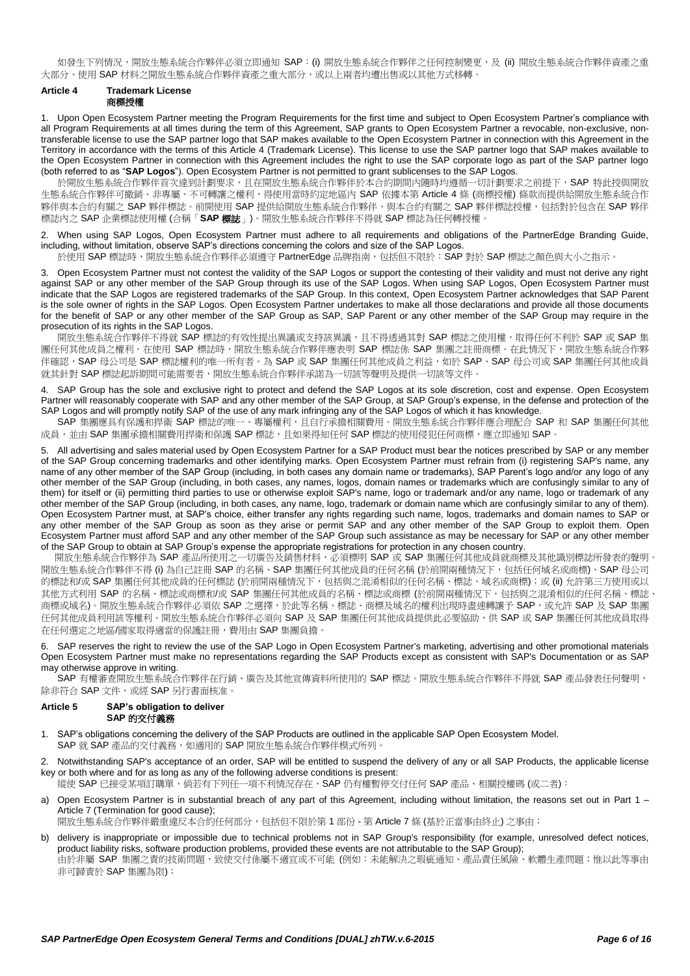如發生下列情況,開放生態系統合作夥伴必須立即通知 SAP: (i) 開放生態系統合作夥伴之任何控制變更,及 (ii) 開放生態系統合作夥伴資產之重 大部分、使用 SAP 材料之開放生態系統合作夥伴資產之重大部分,或以上兩者均漕出售或以其他方式移轉。

# <span id="page-5-0"></span>**Article 4 Trademark License** 商標授權

1. Upon Open Ecosystem Partner meeting the Program Requirements for the first time and subject to Open Ecosystem Partner's compliance with all Program Requirements at all times during the term of this Agreement, SAP grants to Open Ecosystem Partner a revocable, non-exclusive, nontransferable license to use the SAP partner logo that SAP makes available to the Open Ecosystem Partner in connection with this Agreement in the Territory in accordance with the terms of this [Article 4](#page-5-0) (Trademark License). This license to use the SAP partner logo that SAP makes available to the Open Ecosystem Partner in connection with this Agreement includes the right to use the SAP corporate logo as part of the SAP partner logo (both referred to as "**SAP Logos**"). Open Ecosystem Partner is not permitted to grant sublicenses to the SAP Logos.

於開放生態系統合作夥伴首次達到計劃要求,且在開放生態系統合作夥伴於本合約期間內隨時均遵循一切計劃要求之前提下,SAP 特此授與開放 生態系統合作夥伴可撤銷、非專屬、不可轉讓之權利,得使用當時約定地區內 SAP 依據本第 [Article 4](#page-5-0) 條 (商標授權) 條款而提供給開放生態系統合作 夥伴與本合約有關之 SAP 夥伴標誌。前開使用 SAP 提供給開放生態系統合作夥伴、與本合約有關之 SAP 夥伴標誌授權,包括對於包含在 SAP 夥伴 標誌內之 SAP 企業標誌使用權 (合稱「**SAP** 標誌」)。開放生態系統合作夥伴不得就 SAP 標誌為任何轉授權。

2. When using SAP Logos, Open Ecosystem Partner must adhere to all requirements and obligations of the PartnerEdge Branding Guide, including, without limitation, observe SAP's directions concerning the colors and size of the SAP Logos.

於使用 SAP 標誌時,開放生態系統合作夥伴必須遵守 PartnerEdge 品牌指南,包括但不限於: SAP 對於 SAP 標誌之顏色與大小之指示。

3. Open Ecosystem Partner must not contest the validity of the SAP Logos or support the contesting of their validity and must not derive any right against SAP or any other member of the SAP Group through its use of the SAP Logos. When using SAP Logos, Open Ecosystem Partner must indicate that the SAP Logos are registered trademarks of the SAP Group. In this context, Open Ecosystem Partner acknowledges that SAP Parent is the sole owner of rights in the SAP Logos. Open Ecosystem Partner undertakes to make all those declarations and provide all those documents for the benefit of SAP or any other member of the SAP Group as SAP, SAP Parent or any other member of the SAP Group may require in the prosecution of its rights in the SAP Logos.

開放生態系統合作夥伴不得就 SAP 標誌的有效性提出異議或支持該異議,且不得透過其對 SAP 標誌之使用權,取得任何不利於 SAP 或 SAP 集 團任何其他成員之權利。在使用 SAP 標誌時,開放生態系統合作夥伴應表明 SAP 標誌係 SAP 集團之註冊商標。在此情況下,開放生態系統合作夥 伴確認,SAP 母公司是 SAP 標誌權利的唯一所有者。為 SAP 或 SAP 集團任何其他成員之利益,如於 SAP、SAP 母公司或 SAP 集團任何其他成員 就其針對 SAP 標誌起訴期間可能需要者,開放生態系統合作夥伴承諾為一切該等聲明及提供一切該等文件。

4. SAP Group has the sole and exclusive right to protect and defend the SAP Logos at its sole discretion, cost and expense. Open Ecosystem Partner will reasonably cooperate with SAP and any other member of the SAP Group, at SAP Group's expense, in the defense and protection of the SAP Logos and will promptly notify SAP of the use of any mark infringing any of the SAP Logos of which it has knowledge.

SAP 集團應具有保護和捍衛 SAP 標誌的唯一、專屬權利,且自行承擔相關費用。開放生態系統合作夥伴應合理配合 SAP 和 SAP 集團任何其他 成員,並由 SAP 集團承擔相關費用捍衛和保護 SAP 標誌,且如果得知任何 SAP 標誌的使用侵犯任何商標,應立即通知 SAP。

5. All advertising and sales material used by Open Ecosystem Partner for a SAP Product must bear the notices prescribed by SAP or any member of the SAP Group concerning trademarks and other identifying marks. Open Ecosystem Partner must refrain from (i) registering SAP's name, any name of any other member of the SAP Group (including, in both cases any domain name or trademarks), SAP Parent's logo and/or any logo of any other member of the SAP Group (including, in both cases, any names, logos, domain names or trademarks which are confusingly similar to any of them) for itself or (ii) permitting third parties to use or otherwise exploit SAP's name, logo or trademark and/or any name, logo or trademark of any other member of the SAP Group (including, in both cases, any name, logo, trademark or domain name which are confusingly similar to any of them). Open Ecosystem Partner must, at SAP's choice, either transfer any rights regarding such name, logos, trademarks and domain names to SAP or any other member of the SAP Group as soon as they arise or permit SAP and any other member of the SAP Group to exploit them. Open Ecosystem Partner must afford SAP and any other member of the SAP Group such assistance as may be necessary for SAP or any other member of the SAP Group to obtain at SAP Group's expense the appropriate registrations for protection in any chosen country.

開放生態系統合作夥伴為 SAP 產品所使用之一切廣告及銷售材料,必須標明 SAP 或 SAP 集團任何其他成員就商標及其他識別標誌所發表的聲明。 開放生態系統合作夥伴不得 (i) 為自己註冊 SAP 的名稱、SAP 集團任何其他成員的任何名稱 (於前開兩種情況下,包括任何域名或商標)、SAP 母公司 的標誌和/或 SAP 集團任何其他成員的任何標誌 (於前開兩種情況下,包括與之混淆相似的任何名稱、標誌、域名或商標);或 (ii) 允許第三方使用或以 其他方式利用 SAP 的名稱、標誌或商標和/或 SAP 集團任何其他成員的名稱、標誌或商標 (於前開兩種情況下,包括與之混淆相似的任何名稱、標誌、 商標或域名)。開放生態系統合作夥伴必須依 SAP 之選擇,於此等名稱、標誌、商標及域名的權利出現時盡速轉讓予 SAP,或允許 SAP 及 SAP 集團 任何其他成員利用該等權利。開放生熊系統合作夥伴必須向 SAP 及 SAP 集團任何其他成員提供此必要協助,供 SAP 或 SAP 集團任何其他成員取得 在任何選定之地區/國家取得適當的保護註冊,費用由 SAP 集團負擔。

6. SAP reserves the right to review the use of the SAP Logo in Open Ecosystem Partner's marketing, advertising and other promotional materials Open Ecosystem Partner must make no representations regarding the SAP Products except as consistent with SAP's Documentation or as SAP may otherwise approve in writing.

SAP 有權審查開放生態系統合作夥伴在行銷、廣告及其他宣傳資料所使用的 SAP 標誌。開放生態系統合作夥伴不得就 SAP 產品發表任何聲明, 除非符合 SAP 文件,或經 SAP 另行書面核准。

## <span id="page-5-2"></span>**Article 5 SAP's obligation to deliver SAP** 的交付義務

- <span id="page-5-4"></span>1. SAP's obligations concerning the delivery of the SAP Products are outlined in the applicable SAP Open Ecosystem Model. SAP 就 SAP 產品的交付義務,如適用的 SAP 開放生態系統合作夥伴模式所列。
- <span id="page-5-3"></span>2. Notwithstanding SAP's acceptance of an order, SAP will be entitled to suspend the delivery of any or all SAP Products, the applicable license key or both where and for as long as any of the following adverse conditions is present:

縱使 SAP 已接受某項訂購單,倘若有下列任一項不利情況存在,SAP 仍有權暫停交付任何 SAP 產品、相關授權碼 (或二者):

<span id="page-5-1"></span>a) Open Ecosystem Partner is in substantial breach of any part of this Agreement, including without limitation, the reasons set out in Part 1 -[Article 7](#page-6-0) (Termination for good cause):

開放生態系統合作夥伴嚴重違反本合約任何部分,包括但不限於第1部份-第 [Article 7](#page-6-0)條 (基於正當事由終止) 之事由;

b) delivery is inappropriate or impossible due to technical problems not in SAP Group's responsibility (for example, unresolved defect notices, product liability risks, software production problems, provided these events are not attributable to the SAP Group); 由於非屬 SAP 集團之責的技術問題,致使交付係屬不適宜或不可能 (例如:未能解決之瑕疵通知、產品責任風險、軟體生產問題;惟以此等事由 非可歸責於 SAP 集團為限);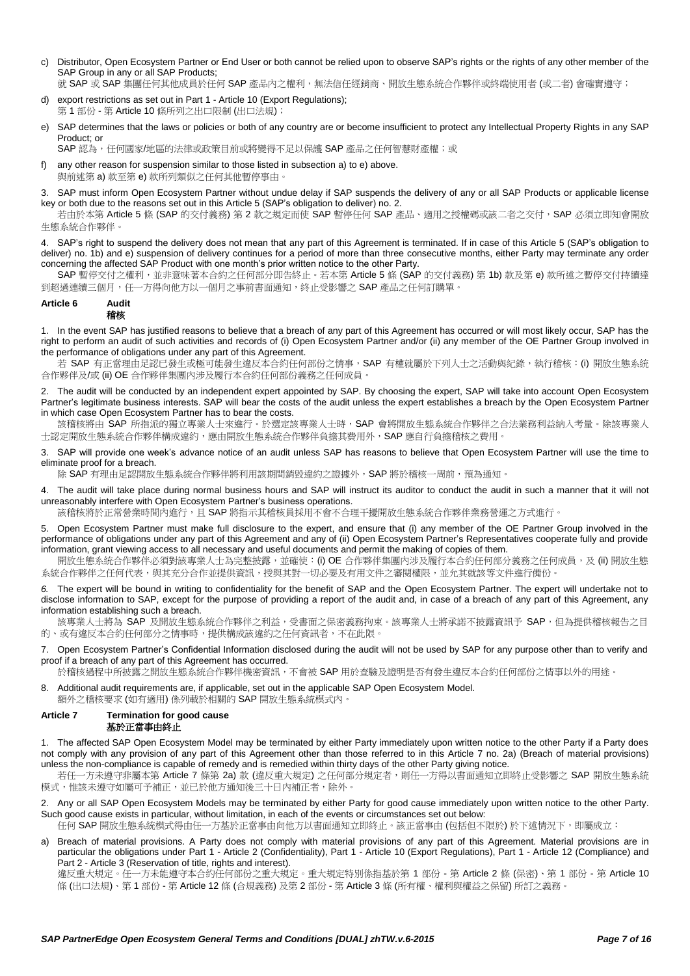c) Distributor, Open Ecosystem Partner or End User or both cannot be relied upon to observe SAP's rights or the rights of any other member of the SAP Group in any or all SAP Products:

就 SAP 或 SAP 集團任何其他成員於任何 SAP 產品內之權利,無法信任經銷商、開放生態系統合作夥伴或終端使用者 (或二者) 會確實遵守;

- export restrictions as set out in Part 1 [Article 10](#page-8-0) (Export Regulations); 第 1 部份 - 第 [Article 10](#page-8-0) 條所列之出口限制 (出口法規);
- <span id="page-6-1"></span>e) SAP determines that the laws or policies or both of any country are or become insufficient to protect any Intellectual Property Rights in any SAP Product; or

SAP認為,任何國家/地區的法律或政策目前或將變得不足以保護 SAP 產品之任何智慧財產權;或

f) any other reason for suspension similar to those listed in subsection [a\)](#page-5-1) t[o e\)](#page-6-1) above. 與前述第 [a\)](#page-5-1) 款至第 [e\)](#page-6-1) 款所列類似之任何其他暫停事由。

3. SAP must inform Open Ecosystem Partner without undue delay if SAP suspends the delivery of any or all SAP Products or applicable license key or both due to the reasons set out in this [Article 5](#page-5-2) (SAP's obligation to deliver) no. [2.](#page-5-3)

若由於本第 [Article 5](#page-5-2) 條 (SAP 的交付義務) 第 [2](#page-5-3) 款之規定而使 SAP 暫停任何 SAP 產品、適用之授權碼或該二者之交付, SAP 必須立即知會開放 生態系統合作夥伴。

<span id="page-6-4"></span>4. SAP's right to suspend the delivery does not mean that any part of this Agreement is terminated. If in case of thi[s Article 5](#page-5-2) (SAP's obligation to deliver) no. [1b\)](#page-5-4) and [e\)](#page-6-1) suspension of delivery continues for a period of more than three consecutive months, either Party may terminate any order concerning the affected SAP Product with one month's prior written notice to the other Party.

SAP 暫停交付之權利,並非意味著本合約之任何部分即告終止。若本第 [Article 5](#page-5-2) 條 (SAP 的交付義務) 第 [1b\)](#page-5-4) 款及第 [e\)](#page-6-1) 款所述之暫停交付持續達 到超過連續三個月,任一方得向他方以一個月之事前書面通知,終止受影響之 SAP 產品之任何訂購單。

## <span id="page-6-3"></span>**Article 6 Audit** 稽核

1. In the event SAP has justified reasons to believe that a breach of any part of this Agreement has occurred or will most likely occur, SAP has the right to perform an audit of such activities and records of (i) Open Ecosystem Partner and/or (ii) any member of the OE Partner Group involved in the performance of obligations under any part of this Agreement.

若 SAP 有正當理由足認已發生或極可能發生違反本合約任何部份之情事,SAP 有權就屬於下列人士之活動與紀錄,執行稽核: (i) 開放生態系統 合作夥伴及/或 (ii) OE 合作夥伴集團內涉及履行本合約任何部份義務之任何成員。

2. The audit will be conducted by an independent expert appointed by SAP. By choosing the expert, SAP will take into account Open Ecosystem Partner's legitimate business interests. SAP will bear the costs of the audit unless the expert establishes a breach by the Open Ecosystem Partner in which case Open Ecosystem Partner has to bear the costs.

該稽核將由 SAP 所指派的獨立專業人士來進行。於選定該專業人士時,SAP 會將開放生態系統合作夥伴之合法業務利益納入考量。除該專業人 士認定開放生態系統合作夥伴構成違約,應由開放生態系統合作夥伴負擔其費用外,SAP 應自行負擔稽核之費用。

3. SAP will provide one week's advance notice of an audit unless SAP has reasons to believe that Open Ecosystem Partner will use the time to eliminate proof for a breach.

除 SAP 有理由足認開放生態系統合作夥伴將利用該期間銷毀違約之證據外, SAP 將於稽核一周前, 預為通知。

4. The audit will take place during normal business hours and SAP will instruct its auditor to conduct the audit in such a manner that it will not unreasonably interfere with Open Ecosystem Partner's business operations.

該稽核將於正常營業時間內進行,且 SAP 將指示其稽核員採用不會不合理干擾開放生態系統合作夥伴業務營運之方式進行。

5. Open Ecosystem Partner must make full disclosure to the expert, and ensure that (i) any member of the OE Partner Group involved in the performance of obligations under any part of this Agreement and any of (ii) Open Ecosystem Partner's Representatives cooperate fully and provide information, grant viewing access to all necessary and useful documents and permit the making of copies of them.

開放生態系統合作夥伴必須對該專業人士為完整披露,並確使: (i) OE 合作夥伴集團內涉及履行本合約任何部分義務之任何成員,及 (ii) 開放生態 系統合作夥伴之任何代表,與其充分合作並提供資訊,授與其對一切必要及有用文件之審閱權限,並允其就該等文件進行備份。

*6.* The expert will be bound in writing to confidentiality for the benefit of SAP and the Open Ecosystem Partner. The expert will undertake not to disclose information to SAP, except for the purpose of providing a report of the audit and, in case of a breach of any part of this Agreement, any information establishing such a breach.

該專業人士將為 SAP 及開放生態系統合作夥伴之利益,受書面之保密義務拘束。該專業人士將承諾不披露資訊予 SAP,但為提供稽核報告之目 的、或有違反本合約任何部分之情事時,提供構成該違約之任何資訊者,不在此限。

7. Open Ecosystem Partner's Confidential Information disclosed during the audit will not be used by SAP for any purpose other than to verify and proof if a breach of any part of this Agreement has occurred.

於稽核過程中所披露之開放生態系統合作夥伴機密資訊,不會被 SAP 用於查驗及證明是否有發生違反本合約任何部份之情事以外的用途。

8. Additional audit requirements are, if applicable, set out in the applicable SAP Open Ecosystem Model.

額外之稽核要求 (如有適用) 係列載於相關的 SAP 開放生態系統模式內。

# <span id="page-6-0"></span>**Article 7 Termination for good cause** 基於正當事由終止

1. The affected SAP Open Ecosystem Model may be terminated by either Party immediately upon written notice to the other Party if a Party does not comply with any provision of any part of this Agreement other than those referred to in this [Article 7](#page-6-0) no. [2a\)](#page-6-2) (Breach of material provisions) unless the non-compliance is capable of remedy and is remedied within thirty days of the other Party giving notice.

若任一方未遵守非屬本第 [Article 7](#page-6-0) 條第 [2a\)](#page-6-2) 款 (違反重大規定) 之任何部分規定者,則任一方得以書面通知立即終止受影響之 SAP 開放生態系統 模式,惟該未遵守如屬可予補正,並已於他方通知後三十日內補正者,除外。

<span id="page-6-2"></span>2. Any or all SAP Open Ecosystem Models may be terminated by either Party for good cause immediately upon written notice to the other Party. Such good cause exists in particular, without limitation, in each of the events or circumstances set out below:

任何 SAP 開放生態系統模式得由任一方基於正當事由向他方以書面通知立即終止。該正當事由 (包括但不限於) 於下述情況下, 即屬成立:

a) Breach of material provisions. A Party does not comply with material provisions of any part of this Agreement. Material provisions are in particular the obligations under Part 1 - [Article 2](#page-3-0) (Confidentiality), Part 1 - [Article 10](#page-8-0) (Export Regulations), Part 1 - [Article 12](#page-9-0) (Compliance) and Part 2 - [Article 3](#page-13-0) (Reservation of title, rights and interest).

違反重大規定。任一方未能遵守本合約任何部份之重大規定。重大規定特別係指基於第 1 部份 - 第 [Article 2](#page-3-0) 條 (保密)、第 1 部份 - 第 [Article 10](#page-8-0) 條 (出口法規)、第 1 部份 - 第 [Article 12](#page-9-0) 條 (合規義務) 及第 2 部份 - 第 [Article 3](#page-13-0) 條 (所有權、權利與權益之保留) 所訂之義務。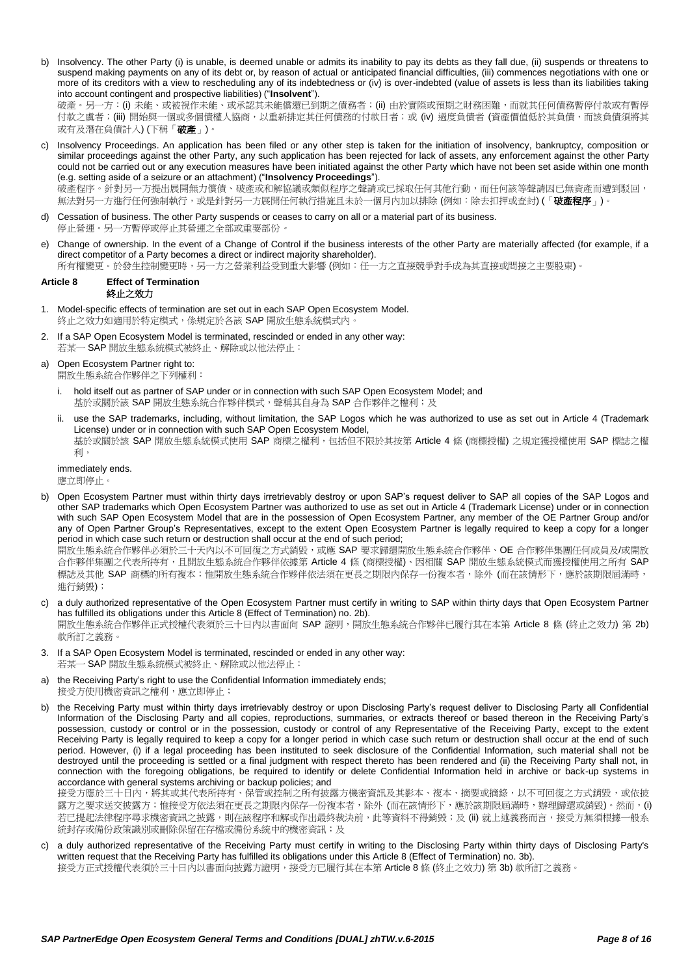b) Insolvency. The other Party (i) is unable, is deemed unable or admits its inability to pay its debts as they fall due, (ii) suspends or threatens to suspend making payments on any of its debt or, by reason of actual or anticipated financial difficulties, (iii) commences negotiations with one or more of its creditors with a view to rescheduling any of its indebtedness or (iv) is over-indebted (value of assets is less than its liabilities taking into account contingent and prospective liabilities) ("**Insolvent**"). 破產。另一方:(i) 未能、或被視作未能、或承認其未能償還已到期之債務者;(ii) 由於實際或預期之財務困難,而就其任何債務暫停付款或有暫停

付款之虞者;(iii) 開始與一個或多個債權人協商,以重新排定其任何債務的付款日者;或 (iv) 過度負債者 (資產價值低於其負債,而該負債須將其 或有及潛在負債計入) (下稱「破產」)

- c) Insolvency Proceedings. An application has been filed or any other step is taken for the initiation of insolvency, bankruptcy, composition or similar proceedings against the other Party, any such application has been rejected for lack of assets, any enforcement against the other Party could not be carried out or any execution measures have been initiated against the other Party which have not been set aside within one month (e.g. setting aside of a seizure or an attachment) ("**Insolvency Proceedings**"). 破產程序。針對另一方提出展開無力償債、破產或和解協議或類似程序之聲請或已採取任何其他行動,而任何該等聲請因已無資產而遭到駁回, 無法對另一方進行任何強制執行,或是針對另一方展開任何執行措施且未於一個月內加以排除 (例如:除去扣押或查封) (「**破產程序**」)。
- d) Cessation of business. The other Party suspends or ceases to carry on all or a material part of its business*.* 停止營運。另一方暫停或停止其營運之全部或重要部份。
- e) Change of ownership. In the event of a Change of Control if the business interests of the other Party are materially affected (for example, if a direct competitor of a Party becomes a direct or indirect majority shareholder).

所有權變更。於發生控制變更時,另一方之營業利益受到重大影響 (例如:任一方之直接競爭對手成為其直接或間接之主要股東)。

# <span id="page-7-0"></span>**Article 8 Effect of Termination** 終止之效力

- 1. Model-specific effects of termination are set out in each SAP Open Ecosystem Model. 終止之效力如適用於特定模式,係規定於各該 SAP 開放生態系統模式內
- <span id="page-7-1"></span>2. If a SAP Open Ecosystem Model is terminated, rescinded or ended in any other way: 若某一 SAP 開放生態系統模式被終止、解除或以他法停止:
- a) Open Ecosystem Partner right to:
	- 開放生態系統合作夥伴之下列權利:
	- i. hold itself out as partner of SAP under or in connection with such SAP Open Ecosystem Model; and 基於或關於該 SAP 開放生態系統合作夥伴模式, 聲稱其自身為 SAP 合作夥伴之權利; 及
	- ii. use the SAP trademarks, including, without limitation, the SAP Logos which he was authorized to use as set out in [Article 4](#page-5-0) (Trademark License) under or in connection with such SAP Open Ecosystem Model, 基於或關於該 SAP 開放生態系統模式使用 SAP 商標之權利,包括但不限於其按第 [Article 4](#page-5-0) 條 (商標授權) 之規定獲授權使用 SAP 標誌之權 利,

immediately ends. 應立即停止。

b) Open Ecosystem Partner must within thirty days irretrievably destroy or upon SAP's request deliver to SAP all copies of the SAP Logos and other SAP trademarks which Open Ecosystem Partner was authorized to use as set out i[n Article 4](#page-5-0) (Trademark License) under or in connection with such SAP Open Ecosystem Model that are in the possession of Open Ecosystem Partner, any member of the OE Partner Group and/or any of Open Partner Group's Representatives, except to the extent Open Ecosystem Partner is legally required to keep a copy for a longer period in which case such return or destruction shall occur at the end of such period;

開放生態系統合作夥伴必須於三十天內以不可回復之方式銷毀,或應 SAP 要求歸還開放生態系統合作夥伴、OE 合作夥伴集團任何成員及/或開放 合作夥伴集團之代表所持有,且開放生態系統合作夥伴依據第 [Article 4](#page-5-0) 條 (商標授權)、因相關 SAP 開放生態系統模式而獲授權使用之所有 SAP 標誌及其他 SAP 商標的所有複本;惟開放生態系統合作夥伴依法須在更長之期限內保存一份複本者,除外 (而在該情形下,應於該期限屆滿時, 進行銷毀);

c) a duly authorized representative of the Open Ecosystem Partner must certify in writing to SAP within thirty days that Open Ecosystem Partner has fulfilled its obligations under this [Article 8](#page-7-0) (Effect of Termination) no. [2b\).](#page-7-1)

開放生態系統合作夥伴正式授權代表須於三十日內以書面向 SAP 證明,開放生態系統合作夥伴已履行其在本第 [Article 8](#page-7-0) 條 (終止之效力) 第 [2b\)](#page-7-1) 款所訂之義務。

- <span id="page-7-2"></span>3. If a SAP Open Ecosystem Model is terminated, rescinded or ended in any other way: 若某一 SAP 開放生態系統模式被終止、解除或以他法停止:
- a) the Receiving Party's right to use the Confidential Information immediately ends: 接受方使用機密資訊之權利,應立即停止;
- b) the Receiving Party must within thirty days irretrievably destroy or upon Disclosing Party's request deliver to Disclosing Party all Confidential Information of the Disclosing Party and all copies, reproductions, summaries, or extracts thereof or based thereon in the Receiving Party's possession, custody or control or in the possession, custody or control of any Representative of the Receiving Party, except to the extent Receiving Party is legally required to keep a copy for a longer period in which case such return or destruction shall occur at the end of such period. However, (i) if a legal proceeding has been instituted to seek disclosure of the Confidential Information, such material shall not be destroyed until the proceeding is settled or a final judgment with respect thereto has been rendered and (ii) the Receiving Party shall not, in connection with the foregoing obligations, be required to identify or delete Confidential Information held in archive or back-up systems in accordance with general systems archiving or backup policies; and

接受方應於三十日內,將其或其代表所持有、保管或控制之所有披露方機密資訊及其影本、複本、摘要或摘錄,以不可回復之方式銷毀,或依披 露方之要求送交披露方;惟接受方依法須在更長之期限內保存一份複本者,除外 (而在該情形下,應於該期限屆滿時,辦理歸還或銷毀)。然而, (i) 若已提起法律程序尋求機密資訊之披露,則在該程序和解或作出最終裁決前,此等資料不得銷毀;及 (ii) 就上述義務而言,接受方無須根據一般系 統封存或備份政策識別或刪除保留在存檔或備份系統中的機密資訊;及

c) a duly authorized representative of the Receiving Party must certify in writing to the Disclosing Party within thirty days of Disclosing Party's written request that the Receiving Party has fulfilled its obligations under this [Article 8](#page-7-0) (Effect of Termination) no[. 3b\).](#page-7-2)

接受方正式授權代表須於三十日內以書面向披露方證明,接受方已履行其在本第 [Article 8](#page-7-0) 條 (終止之效力) 第 [3b\)](#page-7-2) 款所訂之義務。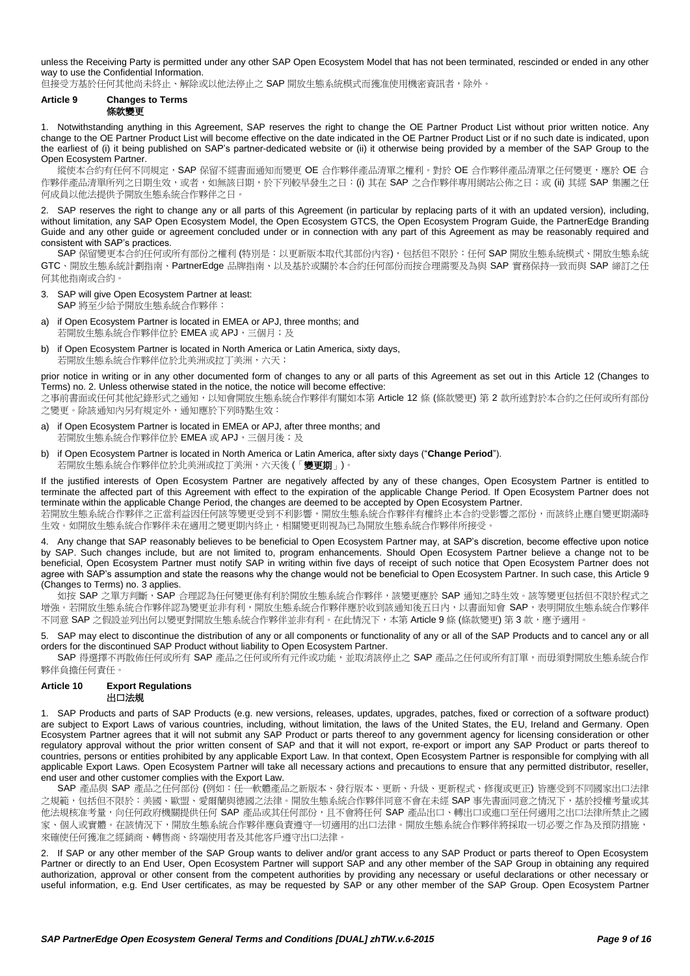unless the Receiving Party is permitted under any other SAP Open Ecosystem Model that has not been terminated, rescinded or ended in any other way to use the Confidential Information.

但接受方基於任何其他尚未終止、解除或以他法停止之 SAP 開放生態系統模式而獲准使用機密資訊者,除外。

#### <span id="page-8-1"></span>**Article 9 Changes to Terms** 條款變更

1. Notwithstanding anything in this Agreement, SAP reserves the right to change the OE Partner Product List without prior written notice. Any change to the OE Partner Product List will become effective on the date indicated in the OE Partner Product List or if no such date is indicated, upon the earliest of (i) it being published on SAP's partner-dedicated website or (ii) it otherwise being provided by a member of the SAP Group to the Open Ecosystem Partner.

縱使本合約有任何不同規定,SAP 保留不經書面通知而變更 OE 合作夥伴產品清單之權利。對於 OE 合作夥伴產品清單之任何變更,應於 OE 合 作夥伴產品清單所列之日期生效,或者,如無該日期,於下列較早發生之日: (i) 其在 SAP 之合作夥伴專用網站公佈之日;或 (ii) 其經 SAP 集團之任 何成員以他法提供予開放生態系統合作夥伴之日。

2. SAP reserves the right to change any or all parts of this Agreement (in particular by replacing parts of it with an updated version), including, without limitation, any SAP Open Ecosystem Model, the Open Ecosystem GTCS, the Open Ecosystem Program Guide, the PartnerEdge Branding Guide and any other guide or agreement concluded under or in connection with any part of this Agreement as may be reasonably required and consistent with SAP's practices.

SAP 保留變更本合約任何或所有部份之權利 (特別是:以更新版本取代其部份內容),包括但不限於:任何 SAP 開放生態系統模式、開放生態系統 GTC、開放生態系統計劃指南、PartnerEdge 品牌指南、以及基於或關於本合約任何部份而按合理需要及為與 SAP 實務保持一致而與 SAP 締訂之任 何其他指南或合約。

- <span id="page-8-2"></span>3. SAP will give Open Ecosystem Partner at least: SAP 將至少給予開放生態系統合作夥伴:
- if Open Ecosystem Partner is located in EMEA or APJ, three months; and 若開放生態系統合作夥伴位於 EMEA 或 APJ,三個月;及
- b) if Open Ecosystem Partner is located in North America or Latin America, sixty days, 若開放生態系統合作夥伴位於北美洲或拉丁美洲,六天;

prior notice in writing or in any other documented form of changes to any or all parts of this Agreement as set out in this [Article 12](#page-9-0) (Changes to Terms) no. [2.](#page-10-0) Unless otherwise stated in the notice, the notice will become effective:

之事前書面或任何其他紀錄形式之通知,以知會開放生態系統合作夥伴有關如本第 [Article 12](#page-9-0) 條 (條款變更) 第 [2](#page-10-0) 款所述對於本合約之任何或所有部份 之變更。除該通知內另有規定外,通知應於下列時點生效:

- a) if Open Ecosystem Partner is located in EMEA or APJ, after three months; and 若開放生態系統合作夥伴位於 EMEA 或 APJ, 三個月後;及
- b) if Open Ecosystem Partner is located in North America or Latin America, after sixty days ("**Change Period**"). 若開放生態系統合作夥伴位於北美洲或拉丁美洲,六天後 (「變更期」)。

If the justified interests of Open Ecosystem Partner are negatively affected by any of these changes, Open Ecosystem Partner is entitled to terminate the affected part of this Agreement with effect to the expiration of the applicable Change Period. If Open Ecosystem Partner does not terminate within the applicable Change Period, the changes are deemed to be accepted by Open Ecosystem Partner.

若開放生態系統合作夥伴之正當利益因任何該等變更受到不利影響,開放生態系統合作夥伴有權終止本合約受影響之部份,而該終止應自變更期滿時 生效。如開放生態系統合作夥伴未在適用之變更期內終止,相關變更則視為已為開放生態系統合作夥伴所接受。

4. Any change that SAP reasonably believes to be beneficial to Open Ecosystem Partner may, at SAP's discretion, become effective upon notice by SAP. Such changes include, but are not limited to, program enhancements. Should Open Ecosystem Partner believe a change not to be beneficial, Open Ecosystem Partner must notify SAP in writing within five days of receipt of such notice that Open Ecosystem Partner does not agree with SAP's assumption and state the reasons why the change would not be beneficial to Open Ecosystem Partner. In such case, this [Article 9](#page-8-1) (Changes to Terms) no. [3](#page-8-2) applies.

如按 SAP 之單方判斷,SAP 合理認為任何變更係有利於開放生態系統合作夥伴,該變更應於 SAP 通知之時生效。該等變更包括但不限於程式之 增強。若開放生態系統合作夥伴認為變更並非有利,開放生態系統合作夥伴應於收到該通知後五日內,以書面知會 SAP,表明開放生態系統合作夥伴 不同意 SAP 之假設並列出何以變更對開放生態系統合作夥伴並非有利。在此情況下,本第 [Article 9](#page-8-1) 條 (條款變更) 第 [3](#page-8-2) 款,應予適用。

5. SAP may elect to discontinue the distribution of any or all components or functionality of any or all of the SAP Products and to cancel any or all orders for the discontinued SAP Product without liability to Open Ecosystem Partner.

SAP 得選擇不再散佈任何或所有 SAP 產品之任何或所有元件或功能,並取消該停止之 SAP 產品之任何或所有訂單,而毋須對開放生態系統合作 夥伴負擔任何責任。

# <span id="page-8-0"></span>**Article 10 Export Regulations** 出口法規

1. SAP Products and parts of SAP Products (e.g. new versions, releases, updates, upgrades, patches, fixed or correction of a software product) are subject to Export Laws of various countries, including, without limitation, the laws of the United States, the EU, Ireland and Germany. Open Ecosystem Partner agrees that it will not submit any SAP Product or parts thereof to any government agency for licensing consideration or other regulatory approval without the prior written consent of SAP and that it will not export, re-export or import any SAP Product or parts thereof to countries, persons or entities prohibited by any applicable Export Law. In that context, Open Ecosystem Partner is responsible for complying with all applicable Export Laws. Open Ecosystem Partner will take all necessary actions and precautions to ensure that any permitted distributor, reseller, end user and other customer complies with the Export Law.

SAP 產品與 SAP 產品之任何部份 (例如:任一軟體產品之新版本、發行版本、更新、升級、更新程式、修復或更正) 皆應受到不同國家出口法律 之規範,包括但不限於:美國、歐盟、愛爾蘭與德國之法律。開放生態系統合作夥伴同意不會在未經 SAP 事先書面同意之情況下,基於授權考量或其 他法規核准考量,向任何政府機關提供任何 SAP 產品或其任何部份,且不會將任何 SAP 產品出口、轉出口或進口至任何適用之出口法律所禁止之國 。<br>家、個人或實體。在該情況下,開放生態系統合作夥伴應負責遵守一切適用的出口法律。開放生態系統合作夥伴將採取一切必要之作為及預防措施, 來確使任何獲准之經銷商、轉售商、終端使用者及其他客戶遵守出口法律。

<span id="page-8-3"></span>2. If SAP or any other member of the SAP Group wants to deliver and/or grant access to any SAP Product or parts thereof to Open Ecosystem Partner or directly to an End User, Open Ecosystem Partner will support SAP and any other member of the SAP Group in obtaining any required authorization, approval or other consent from the competent authorities by providing any necessary or useful declarations or other necessary or useful information, e.g. End User certificates, as may be requested by SAP or any other member of the SAP Group. Open Ecosystem Partner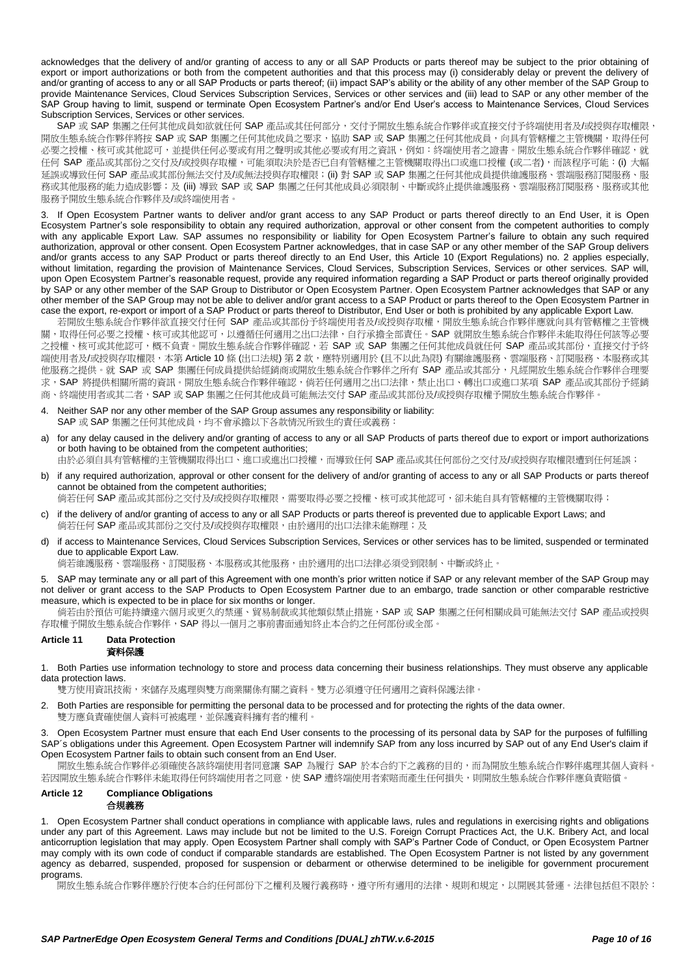acknowledges that the delivery of and/or granting of access to any or all SAP Products or parts thereof may be subject to the prior obtaining of export or import authorizations or both from the competent authorities and that this process may (i) considerably delay or prevent the delivery of and/or granting of access to any or all SAP Products or parts thereof; (ii) impact SAP's ability or the ability of any other member of the SAP Group to provide Maintenance Services, Cloud Services Subscription Services, Services or other services and (iii) lead to SAP or any other member of the SAP Group having to limit, suspend or terminate Open Ecosystem Partner's and/or End User's access to Maintenance Services, Cloud Services Subscription Services, Services or other services.

SAP 或 SAP 集團之任何其他成員如欲就任何 SAP 產品或其任何部分,交付予開放生態系統合作夥伴或直接交付予終端使用者及/或授與存取權限, 開放生態系統合作夥伴將按 SAP 或 SAP 集團之任何其他成員之要求,協助 SAP 或 SAP 集團之任何其他成員,向具有管轄權之主管機關,取得任何 必要之授權、核可或其他認可,並提供任何必要或有用之聲明或其他必要或有用之資訊,例如:終端使用者之證書。開放生態系統合作夥伴確認,就 任何 SAP 產品或其部份之交付及/或授與存取權,可能須取決於是否已自有管轄權之主管機關取得出口或進口授權 (或二者),而該程序可能: (i) 大幅 延誤或導致任何 SAP 產品或其部份無法交付及/或無法授與存取權限;(ii) 對 SAP 或 SAP 集團之任何其他成員提供維護服務、雲端服務訂閱服務、服 務或其他服務的能力造成影響;及 (iii) 導致 SAP 或 SAP 集團之任何其他成員必須限制、中斷或終止提供維護服務、雲端服務訂閱服務、服務或其他 服務予開放生態系統合作夥伴及/或終端使用者。

3. If Open Ecosystem Partner wants to deliver and/or grant access to any SAP Product or parts thereof directly to an End User, it is Open Ecosystem Partner's sole responsibility to obtain any required authorization, approval or other consent from the competent authorities to comply with any applicable Export Law. SAP assumes no responsibility or liability for Open Ecosystem Partner's failure to obtain any such required authorization, approval or other consent. Open Ecosystem Partner acknowledges, that in case SAP or any other member of the SAP Group delivers and/or grants access to any SAP Product or parts thereof directly to an End User, this [Article 10](#page-8-0) (Export Regulations) no. [2](#page-8-3) applies especially, without limitation, regarding the provision of Maintenance Services, Cloud Services, Subscription Services, Services or other services. SAP will, upon Open Ecosystem Partner's reasonable request, provide any required information regarding a SAP Product or parts thereof originally provided by SAP or any other member of the SAP Group to Distributor or Open Ecosystem Partner. Open Ecosystem Partner acknowledges that SAP or any other member of the SAP Group may not be able to deliver and/or grant access to a SAP Product or parts thereof to the Open Ecosystem Partner in case the export, re-export or import of a SAP Product or parts thereof to Distributor, End User or both is prohibited by any applicable Export Law.

若開放生態系統合作夥伴欲直接交付任何 SAP 產品或其部份予終端使用者及/或授與存取權,開放生態系統合作夥伴應就向具有管轄權之主管機 關,取得任何必要之授權、核可或其他認可,以遵循任何適用之出口法律,自行承擔全部責任。SAP 就開放生態系統合作夥伴未能取得任何該等必要 之授權、核可或其他認可,概不負責。開放生態系統合作夥伴確認,若 SAP 或 SAP 集團之任何其他成員就任何 SAP 產品或其部份,直接交付予終 端使用者及/或授與存取權限,本第 [Article 10](#page-8-0) 條 (出口法規) 第 [2](#page-8-3) 款,應特別適用於 (且不以此為限) 有關維護服務、雲端服務、訂閱服務、本服務或其 他服務之提供。就 SAP 或 SAP 集團任何成員提供給經銷商或開放生態系統合作夥伴之所有 SAP 產品或其部分, 凡經開放生態系統合作夥伴合理要 求, SAP 將提供相關所需的資訊。開放生態系統合作夥伴確認,倘若任何適用之出口法律,禁止出口、轉出口或進口某項 SAP 產品或其部份予經銷 商、終端使用者或其二者,SAP 或 SAP 集團之任何其他成員可能無法交付 SAP 產品或其部份及/或授與存取權予開放生態系統合作夥伴。

- 
- 4. Neither SAP nor any other member of the SAP Group assumes any responsibility or liability: SAP 或 SAP 集團之任何其他成員,均不會承擔以下各款情況所致生的責任或義務:
- a) for any delay caused in the delivery and/or granting of access to any or all SAP Products of parts thereof due to export or import authorizations or both having to be obtained from the competent authorities;
- 由於必須自具有管轄權的主管機關取得出口、進口或進出口授權,而導致任何 SAP 產品或其任何部份之交付及/或授與存取權限遭到任何延誤;
- b) if any required authorization, approval or other consent for the delivery of and/or granting of access to any or all SAP Products or parts thereof cannot be obtained from the competent authorities;

倘若任何 SAP 產品或其部份之交付及/或授與存取權限,需要取得必要之授權、核可或其他認可,卻未能自具有管轄權的主管機關取得;

- c) if the delivery of and/or granting of access to any or all SAP Products or parts thereof is prevented due to applicable Export Laws; and 倘若任何 SAP 產品或其部份之交付及/或授與存取權限,由於適用的出口法律未能辦理;及
- d) if access to Maintenance Services, Cloud Services Subscription Services, Services or other services has to be limited, suspended or terminated due to applicable Export Law.

倘若維護服務、雲端服務、訂閱服務、本服務或其他服務,由於適用的出口法律必須受到限制、中斷或終止。

5. SAP may terminate any or all part of this Agreement with one month's prior written notice if SAP or any relevant member of the SAP Group may not deliver or grant access to the SAP Products to Open Ecosystem Partner due to an embargo, trade sanction or other comparable restrictive measure, which is expected to be in place for six months or longer.

倘若由於預估可能持續達六個月或更久的禁運、貿易制裁或其他類似禁止措施,SAP 或 SAP 集團之任何相關成員可能無法交付 SAP 產品或授與 存取權予開放生態系統合作夥伴,SAP 得以一個月之事前書面通知終止本合約之任何部份或全部。

#### **Article 11 Data Protection** 資料保護

1. Both Parties use information technology to store and process data concerning their business relationships. They must observe any applicable data protection laws.

雙方使用資訊技術,來儲存及處理與雙方商業關係有關之資料。雙方必須遵守任何適用之資料保護法律。

2. Both Parties are responsible for permitting the personal data to be processed and for protecting the rights of the data owner. 雙方應負責確使個人資料可被處理,並保護資料擁有者的權利。

3. Open Ecosystem Partner must ensure that each End User consents to the processing of its personal data by SAP for the purposes of fulfilling SAP´s obligations under this Agreement. Open Ecosystem Partner will indemnify SAP from any loss incurred by SAP out of any End User's claim if Open Ecosystem Partner fails to obtain such consent from an End User.

開放生態系統合作夥伴必須確使各該終端使用者同意讓 SAP 為履行 SAP 於本合約下之義務的目的,而為開放生態系統合作夥伴處理其個人資料。 若因開放生態系統合作夥伴未能取得任何終端使用者之同意,使 SAP 遭終端使用者索賠而產生任何損失,則開放生態系統合作夥伴應負責賠償。

# <span id="page-9-0"></span>**Article 12 Compliance Obligations** 合規義務

1. Open Ecosystem Partner shall conduct operations in compliance with applicable laws, rules and regulations in exercising rights and obligations under any part of this Agreement. Laws may include but not be limited to the U.S. Foreign Corrupt Practices Act, the U.K. Bribery Act, and local anticorruption legislation that may apply. Open Ecosystem Partner shall comply with SAP's Partner Code of Conduct, or Open Ecosystem Partner may comply with its own code of conduct if comparable standards are established. The Open Ecosystem Partner is not listed by any government agency as debarred, suspended, proposed for suspension or debarment or otherwise determined to be ineligible for government procurement programs.

開放生態系統合作夥伴應於行使本合約任何部份下之權利及履行義務時,遵守所有適用的法律、規則和規定,以開展其營運。法律包括但不限於: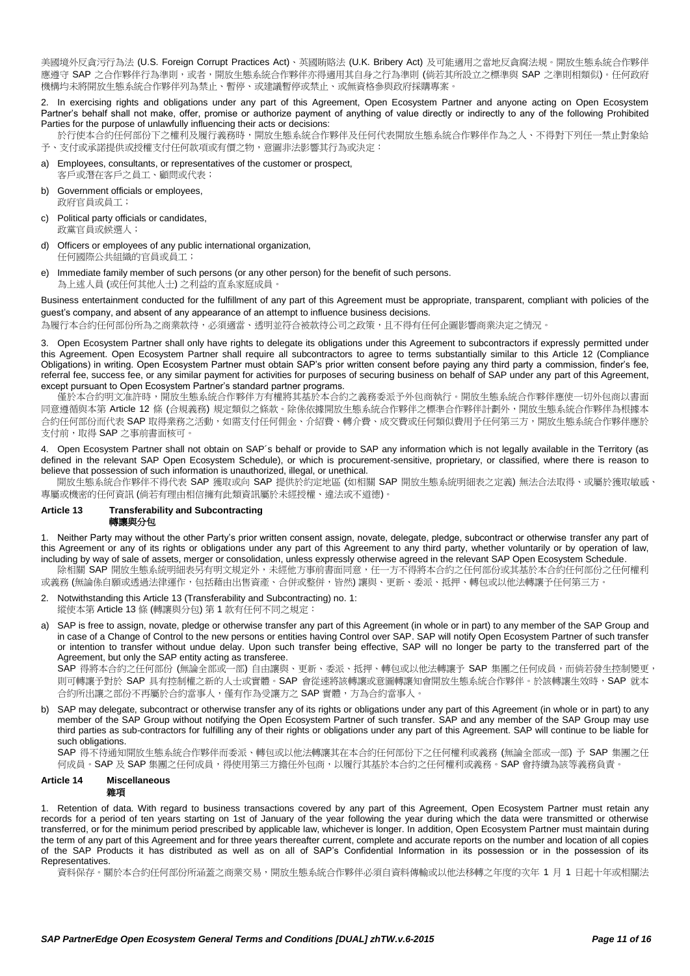美國境外反貪污行為法 (U.S. Foreign Corrupt Practices Act)、英國賄賂法 (U.K. Bribery Act) 及可能適用之當地反貪腐法規。開放生態系統合作夥伴 應遵守 SAP 之合作夥伴行為準則,或者,開放生態系統合作夥伴亦得適用其自身之行為準則 (倘若其所設立之標準與 SAP 之準則相類似)。任何政府 機構均未將開放生態系統合作夥伴列為禁止、暫停、或建議暫停或禁止、或無資格參與政府採購專案。

<span id="page-10-0"></span>2. In exercising rights and obligations under any part of this Agreement, Open Ecosystem Partner and anyone acting on Open Ecosystem Partner's behalf shall not make, offer, promise or authorize payment of anything of value directly or indirectly to any of the following Prohibited Parties for the purpose of unlawfully influencing their acts or decisions:

於行使本合約任何部份下之權利及履行義務時,開放生態系統合作夥伴及任何代表開放生態系統合作夥伴作為之人、不得對下列任一禁止對象給 予、支付或承諾提供或授權支付任何款項或有價之物,意圖非法影響其行為或決定:

- a) Employees, consultants, or representatives of the customer or prospect, 客戶或潛在客戶之員工、顧問或代表;
- b) Government officials or employees. 政府官員或員工;
- c) Political party officials or candidates, 政黨官員或候選人;
- d) Officers or employees of any public international organization, 任何國際公共組織的官員或員工;
- e) Immediate family member of such persons (or any other person) for the benefit of such persons. 為上述人員 (或任何其他人士) 之利益的直系家庭成員

Business entertainment conducted for the fulfillment of any part of this Agreement must be appropriate, transparent, compliant with policies of the guest's company, and absent of any appearance of an attempt to influence business decisions.

為履行本合約任何部份所為之商業款待,必須適當、透明並符合被款待公司之政策,且不得有任何企圖影響商業決定之情況。

3. Open Ecosystem Partner shall only have rights to delegate its obligations under this Agreement to subcontractors if expressly permitted under this Agreement. Open Ecosystem Partner shall require all subcontractors to agree to terms substantially similar to this [Article 12](#page-9-0) (Compliance Obligations) in writing. Open Ecosystem Partner must obtain SAP's prior written consent before paying any third party a commission, finder's fee, referral fee, success fee, or any similar payment for activities for purposes of securing business on behalf of SAP under any part of this Agreement, except pursuant to Open Ecosystem Partner's standard partner programs.

僅於本合約明文准許時,開放生態系統合作夥伴方有權將其基於本合約之義務委派予外包商執行。開放生態系統合作夥伴應使一切外包商以書面 同意遵循與本第 [Article 12](#page-9-0) 條 (合規義務) 規定類似之條款。除係依據開放生態系統合作夥伴之標準合作夥伴計劃外,開放生態系統合作夥伴為根據本 合約任何部份而代表 SAP 取得業務之活動,如需支付任何佣金、介紹費、轉介費、成交費或任何類似費用予任何第三方,開放生態系統合作夥伴應於 支付前,取得 SAP 之事前書面核可。

4. Open Ecosystem Partner shall not obtain on SAP´s behalf or provide to SAP any information which is not legally available in the Territory (as defined in the relevant SAP Open Ecosystem Schedule), or which is procurement-sensitive, proprietary, or classified, where there is reason to believe that possession of such information is unauthorized, illegal, or unethical.

 開放生態系統合作夥伴不得代表 SAP 獲取或向 SAP 提供於約定地區 (如相關 SAP 開放生態系統明細表之定義) 無法合法取得、或屬於獲取敏感、 專屬或機密的任何資訊 (倘若有理由相信擁有此類資訊屬於未經授權、違法或不道德)。

# **Article 13 Transferability and Subcontracting**

# <span id="page-10-1"></span>轉讓與分包

<span id="page-10-2"></span>1. Neither Party may without the other Party's prior written consent assign, novate, delegate, pledge, subcontract or otherwise transfer any part of this Agreement or any of its rights or obligations under any part of this Agreement to any third party, whether voluntarily or by operation of law, including by way of sale of assets, merger or consolidation, unless expressly otherwise agreed in the relevant SAP Open Ecosystem Schedule. 除相關 SAP 開放生態系統明細表另有明文規定外,未經他方事前書面同意,任一方不得將本合約之任何部份或其基於本合約任何部份之任何權利 或義務 (無論係自願或透過法律運作,包括藉由出售資產、合併或整併,皆然) 讓與、更新、委派、抵押、轉包或以他法轉讓予任何第三方。

- 2. Notwithstanding thi[s Article 13](#page-10-1) (Transferability and Subcontracting) no[. 1:](#page-10-2) 縱使本第 [Article 13](#page-10-1) 條 (轉讓與分包) 第 [1](#page-10-2) 款有任何不同之規定:
- a) SAP is free to assign, novate, pledge or otherwise transfer any part of this Agreement (in whole or in part) to any member of the SAP Group and in case of a Change of Control to the new persons or entities having Control over SAP. SAP will notify Open Ecosystem Partner of such transfer or intention to transfer without undue delay. Upon such transfer being effective, SAP will no longer be party to the transferred part of the Agreement, but only the SAP entity acting as transferee.

SAP 得將本合約之任何部份 (無論全部或一部) 自由讓與、更新、委派、抵押、轉包或以他法轉讓予 SAP 集團之任何成員,而倘若發生控制變更, 則可轉讓予對於 SAP 具有控制權之新的人士或實體。SAP 會從速將該轉讓或意圖轉讓知會開放生態系統合作夥伴。於該轉讓生效時,SAP 就本 合約所出讓之部份不再屬於合約當事人,僅有作為受讓方之 SAP 實體,方為合約當事人。

b) SAP may delegate, subcontract or otherwise transfer any of its rights or obligations under any part of this Agreement (in whole or in part) to any member of the SAP Group without notifying the Open Ecosystem Partner of such transfer. SAP and any member of the SAP Group may use third parties as sub-contractors for fulfilling any of their rights or obligations under any part of this Agreement. SAP will continue to be liable for such obligations.

SAP 得不待通知開放生態系統合作夥伴而委派、轉包或以他法轉讓其在本合約任何部份下之任何權利或義務 (無論全部或一部) 予 SAP 集團之任 何成員。SAP 及 SAP 集團之任何成員,得使用第三方擔任外包商,以履行其基於本合約之任何權利或義務。SAP 會持續為該等義務負責。

#### <span id="page-10-3"></span>**Article 14 Miscellaneous** 雜項

<span id="page-10-4"></span>1. Retention of data. With regard to business transactions covered by any part of this Agreement, Open Ecosystem Partner must retain any records for a period of ten years starting on 1st of January of the year following the year during which the data were transmitted or otherwise transferred, or for the minimum period prescribed by applicable law, whichever is longer. In addition, Open Ecosystem Partner must maintain during the term of any part of this Agreement and for three years thereafter current, complete and accurate reports on the number and location of all copies of the SAP Products it has distributed as well as on all of SAP's Confidential Information in its possession or in the possession of its Representatives.

資料保存。關於本合約任何部份所涵蓋之商業交易,開放生態系統合作夥伴必須自資料傳輸或以他法移轉之年度的次年 1 月 1 日起十年或相關法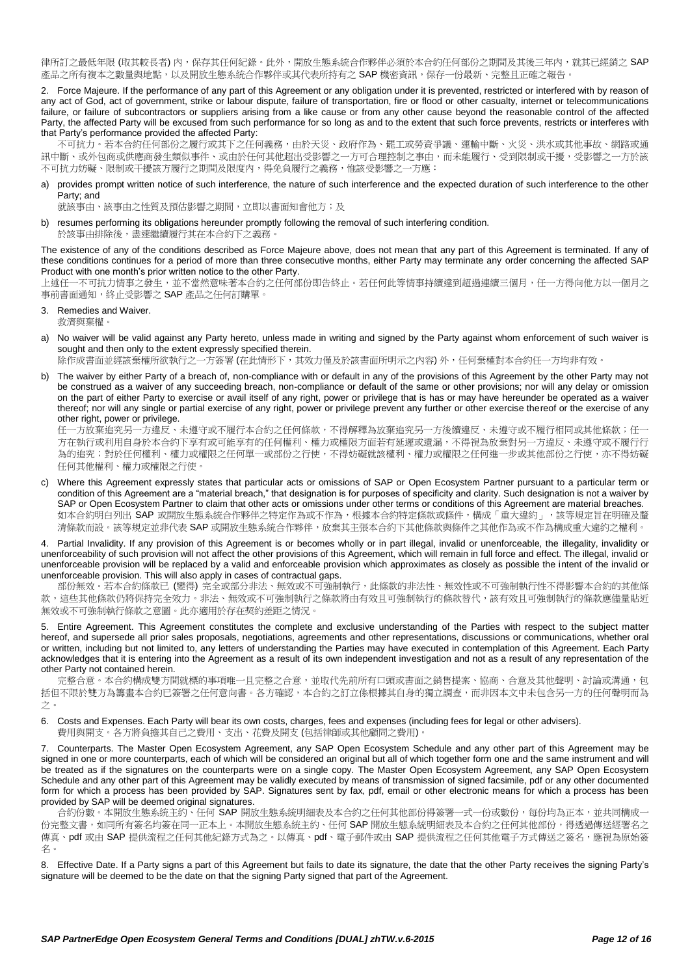律所訂之最低年限 (取其較長者) 内,保存其任何紀錄。此外,開放生態系統合作夥伴必須於本合約任何部份之期間及其後三年內,就其已經銷之 SAP 産品之所有複本之數量與地點,以及開放生態系統合作夥伴或其代表所持有之 SAP 機密資訊,保存一份最新、完整且正確之報告。

<span id="page-11-1"></span>2. Force Majeure. If the performance of any part of this Agreement or any obligation under it is prevented, restricted or interfered with by reason of any act of God, act of government, strike or labour dispute, failure of transportation, fire or flood or other casualty, internet or telecommunications failure, or failure of subcontractors or suppliers arising from a like cause or from any other cause beyond the reasonable control of the affected Party, the affected Party will be excused from such performance for so long as and to the extent that such force prevents, restricts or interferes with that Party's performance provided the affected Party:

不可抗力。若本合約任何部份之履行或其下之任何義務,由於天災、政府作為、罷工或勞資爭議、運輸中斷、火災、洪水或其他事故、網路或通 訊中斷、或外包商或供應商發生類似事件、或由於任何其他超出受影響之一方可合理控制之事由,而未能履行、受到限制或干擾,受影響之一方於該 不可抗力妨礙、限制或干擾該方履行之期間及限度內,得免負履行之義務,惟該受影響之一方應:

a) provides prompt written notice of such interference, the nature of such interference and the expected duration of such interference to the other Party; and

就該事由、該事由之性質及預估影響之期間,立即以書面知會他方;及

b) resumes performing its obligations hereunder promptly following the removal of such interfering condition. 於該事由排除後,盡速繼續履行其在本合約下之義務

The existence of any of the conditions described as Force Majeure above, does not mean that any part of this Agreement is terminated. If any of these conditions continues for a period of more than three consecutive months, either Party may terminate any order concerning the affected SAP Product with one month's prior written notice to the other Party.

上述任一不可抗力情事之發生,並不當然意味著本合約之任何部份即告終止。若任何此等情事持續達到超過連續三個月,任一方得向他方以一個月之 事前書面通知,終止受影響之 SAP 產品之任何訂購單。

3. Remedies and Waiver.

救濟與棄權。

a) No waiver will be valid against any Party hereto, unless made in writing and signed by the Party against whom enforcement of such waiver is sought and then only to the extent expressly specified therein.

除作成書面並經該棄權所欲執行之一方簽署 (在此情形下,其效力僅及於該書面所明示之內容) 外,任何棄權對本合約任一方均非有效。

b) The waiver by either Party of a breach of, non-compliance with or default in any of the provisions of this Agreement by the other Party may not be construed as a waiver of any succeeding breach, non-compliance or default of the same or other provisions; nor will any delay or omission on the part of either Party to exercise or avail itself of any right, power or privilege that is has or may have hereunder be operated as a waiver thereof; nor will any single or partial exercise of any right, power or privilege prevent any further or other exercise thereof or the exercise of any other right, power or privilege.

任一方放棄追究另一方違反、未遵守或不履行本合約之任何條款,不得解釋為放棄追究另一方後續違反、未遵守或不履行相同或其他條款;任一 方在執行或利用自身於本合約下享有或可能享有的任何權利、權力或權限方面若有延遲或遺漏,不得視為放棄對另一方違反、未遵守或不履行行 為的追究;對於任何權利、權力或權限之任何單一或部份之行使,不得妨礙就該權利、權力或權限之任何進一步或其他部份之行使,亦不得妨礙 任何其他權利、權力或權限之行使。

c) Where this Agreement expressly states that particular acts or omissions of SAP or Open Ecosystem Partner pursuant to a particular term or condition of this Agreement are a "material breach," that designation is for purposes of specificity and clarity. Such designation is not a waiver by SAP or Open Ecosystem Partner to claim that other acts or omissions under other terms or conditions of this Agreement are material breaches. 如本合約明白列出 SAP 或開放生態系統合作夥伴之特定作為或不作為,根據本合約特定條款或條件,構成「重大違約」,該等規定旨在明確及釐 清條款而設。該等規定並非代表 SAP 或開放生態系統合作夥伴,放棄其主張本合約下其他條款與條件之其他作為或不作為構成重大違約之權利。

<span id="page-11-0"></span>4. Partial Invalidity. If any provision of this Agreement is or becomes wholly or in part illegal, invalid or unenforceable, the illegality, invalidity or unenforceability of such provision will not affect the other provisions of this Agreement, which will remain in full force and effect. The illegal, invalid or unenforceable provision will be replaced by a valid and enforceable provision which approximates as closely as possible the intent of the invalid or unenforceable provision. This will also apply in cases of contractual gaps.

部份無效。若本合約條款已 (變得) 完全或部分非法、無效或不可強制執行,此條款的非法性、無效性或不可強制執行性不得影響本合約的其他條 款,這些其他條款仍將保持完全效力。非法、無效或不可強制執行之條款將由有效且可強制執行的條款替代,該有效且可強制執行的條款應儘量貼近 無效或不可強制執行條款之意圖。此亦適用於存在契約差距之情況。

5. Entire Agreement. This Agreement constitutes the complete and exclusive understanding of the Parties with respect to the subject matter hereof, and supersede all prior sales proposals, negotiations, agreements and other representations, discussions or communications, whether oral or written, including but not limited to, any letters of understanding the Parties may have executed in contemplation of this Agreement. Each Party acknowledges that it is entering into the Agreement as a result of its own independent investigation and not as a result of any representation of the other Party not contained herein.

完整合意。本合約構成雙方間就標的事項唯一且完整之合意,並取代先前所有口頭或書面之銷售提案、協商、合意及其他聲明、討論或溝通,包 括但不限於雙方為籌書本合約已簽署之任何意向書。各方確認,本合約之訂立係根據其自身的獨立調查,而非因本文中未包含另一方的任何聲明而為 之。

6. Costs and Expenses. Each Party will bear its own costs, charges, fees and expenses (including fees for legal or other advisers). 費用與開支。各方將負擔其自己之費用、支出、花費及開支 (包括律師或其他顧問之費用)。

7. Counterparts. The Master Open Ecosystem Agreement, any SAP Open Ecosystem Schedule and any other part of this Agreement may be signed in one or more counterparts, each of which will be considered an original but all of which together form one and the same instrument and will be treated as if the signatures on the counterparts were on a single copy. The Master Open Ecosystem Agreement, any SAP Open Ecosystem Schedule and any other part of this Agreement may be validly executed by means of transmission of signed facsimile, pdf or any other documented form for which a process has been provided by SAP. Signatures sent by fax, pdf, email or other electronic means for which a process has been provided by SAP will be deemed original signatures.

合約份數。本開放生態系統主約、任何 SAP 開放生態系統明細表及本合約之任何其他部份得簽署一式一份或數份,每份均為正本,並共同構成一 份完整文書,如同所有簽名均簽在同一正本上。本開放生態系統主約、任何 SAP 開放生態系統明細表及本合約之任何其他部份,得透過傳送經署名之 傳真、pdf 或由 SAP 提供流程之任何其他紀錄方式為之。以傳真、pdf、電子郵件或由 SAP 提供流程之任何其他電子方式傳送之簽名,應視為原始簽 名。

8. Effective Date. If a Party signs a part of this Agreement but fails to date its signature, the date that the other Party receives the signing Party's signature will be deemed to be the date on that the signing Party signed that part of the Agreement.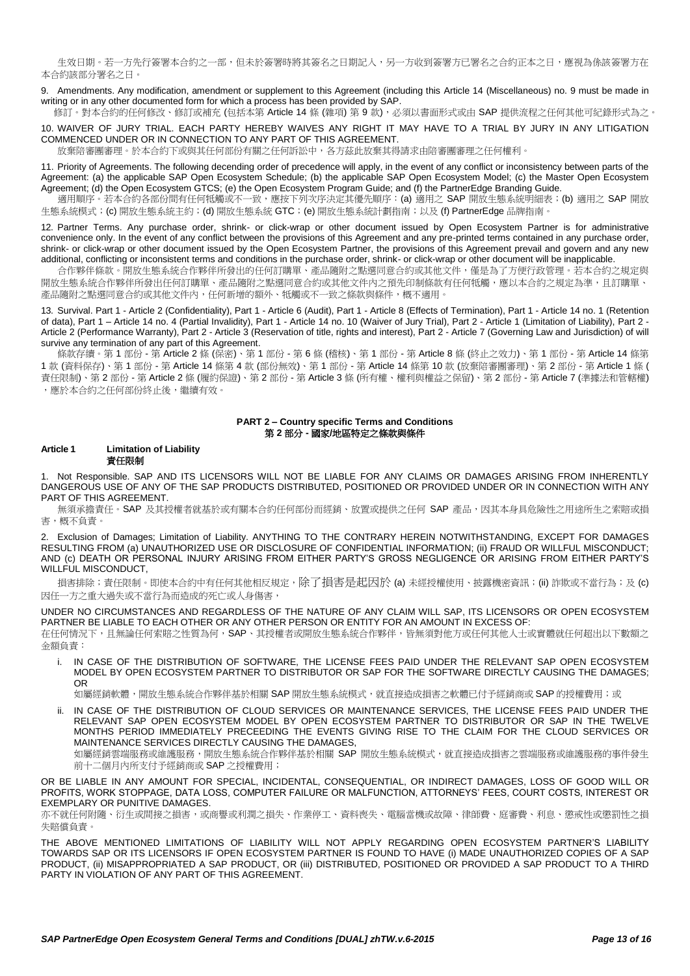生效日期。若一方先行簽署本合約之一部,但未於簽署時將其簽名之日期記入,另一方收到簽署方已署名之合約正本之日,應視為係該簽署方在 本合約該部分署名之日。

<span id="page-12-0"></span>9. Amendments. Any modification, amendment or supplement to this Agreement (including this [Article 14](#page-10-3) (Miscellaneous) no. [9](#page-12-0) must be made in writing or in any other documented form for which a process has been provided by SAP.

修訂。對本合約的任何修改、修訂或補充 (包括本第 [Article 14](#page-10-3) 條 (雜項) 第 [9](#page-12-0) 款), 必須以書面形式或由 SAP 提供流程之任何其他可紀錄形式為之。

<span id="page-12-1"></span>10. WAIVER OF JURY TRIAL. EACH PARTY HEREBY WAIVES ANY RIGHT IT MAY HAVE TO A TRIAL BY JURY IN ANY LITIGATION COMMENCED UNDER OR IN CONNECTION TO ANY PART OF THIS AGREEMENT.

放棄陪審團審理。於本合約下或與其任何部份有關之任何訴訟中,各方茲此放棄其得請求由陪審團審理之任何權利。

11. Priority of Agreements. The following decending order of precedence will apply, in the event of any conflict or inconsistency between parts of the Agreement: (a) the applicable SAP Open Ecosystem Schedule; (b) the applicable SAP Open Ecosystem Model; (c) the Master Open Ecosystem Agreement; (d) the Open Ecosystem GTCS; (e) the Open Ecosystem Program Guide; and (f) the PartnerEdge Branding Guide.

適用順序。若本合約各部份間有任何牴觸或不一致,應按下列次序決定其優先順序: (a) 適用之 SAP 開放生態系統明細表; (b) 適用之 SAP 開放 生態系統模式;(c) 開放生態系統主約;(d) 開放生態系統 GTC;(e) 開放生態系統計劃指南;以及 (f) PartnerEdge 品牌指南。

12. Partner Terms. Any purchase order, shrink- or click-wrap or other document issued by Open Ecosystem Partner is for administrative convenience only. In the event of any conflict between the provisions of this Agreement and any pre-printed terms contained in any purchase order, shrink- or click-wrap or other document issued by the Open Ecosystem Partner, the provisions of this Agreement prevail and govern and any new additional, conflicting or inconsistent terms and conditions in the purchase order, shrink- or click-wrap or other document will be inapplicable.

合作夥伴條款。開放生態系統合作夥伴所發出的任何訂購單、產品隨附之點選同意合約或其他文件,僅是為了方便行政管理。若本合約之規定與 開放生態系統合作夥伴所發出任何訂購單、產品隨附之點選同意合約或其他文件內之預先印制條款有任何牴觸,應以本合約之規定為準,且訂購單、 產品隨附之點選同意合約或其他文件內,任何新增的額外、牴觸或不一致之條款與條件,概不適用

13. Survival. Part 1 - [Article 2](#page-3-0) (Confidentiality), Part 1 - [Article 6](#page-6-3) (Audit), Part 1 - [Article 8](#page-7-0) (Effects of Termination), Part 1 - [Article 14](#page-10-3) no[. 1](#page-10-4) (Retention of data), Part 1 – [Article 14](#page-10-3) no. [4](#page-11-0) (Partial Invalidity), Part 1 - [Article 14](#page-10-3) no. [10](#page-12-1) (Waiver of Jury Trial), Part 2 - [Article 1](#page-12-2) (Limitation of Liability), Part 2 - [Article 2](#page-13-1) (Performance Warranty), Part 2 - [Article 3](#page-13-0) (Reservation of title, rights and interest), Part 2 - [Article 7](#page-15-0) (Governing Law and Jurisdiction) of will survive any termination of any part of this Agreement.

條款存續。第 1 部份 - 第 [Article 2](#page-3-0) 條 (保密)、第 1 部份 - 第 6 條 (稽核)、第 1 部份 - 第 [Article 8](#page-7-0) 條 (終止之效力)、第 1 部份 - 第 [Article 14](#page-10-3) 條第 [1](#page-10-4) 款 (資料保存)、第 1 部份 - 第 [Article 14](#page-10-3) 條第 [4](#page-11-0) 款 (部份無效)、第 1 部份 - 第 [Article 14](#page-10-3) 條第 [10](#page-12-1) 款 (放棄陪審團審理)、第 2 部份 - 第 [Article 1](#page-12-2) 條 ( 責任限制)、第 2 部份 - 第 [Article 2](#page-13-1) 條 (履約保證)、第 2 部份 - 第 [Article 3](#page-13-0) 條 (所有權、權利與權益之保留)、第 2 部份 - 第 [Article 7](#page-15-0) (準據法和管轄權) ,應於本合約之任何部份終止後,繼續有效。

## **PART 2 – Country specific Terms and Conditions** 第 **2** 部分 **-** 國家**/**地區特定之條款與條件

# <span id="page-12-2"></span>**Article 1 Limitation of Liability** 責任限制

1. Not Responsible. SAP AND ITS LICENSORS WILL NOT BE LIABLE FOR ANY CLAIMS OR DAMAGES ARISING FROM INHERENTLY DANGEROUS USE OF ANY OF THE SAP PRODUCTS DISTRIBUTED, POSITIONED OR PROVIDED UNDER OR IN CONNECTION WITH ANY PART OF THIS AGREEMENT.

無須承擔責任。SAP 及其授權者就基於或有關本合約任何部份而經銷、放置或提供之任何 SAP 產品,因其本身具危險性之用途所生之索賠或捐 害,概不負責。

<span id="page-12-3"></span>2. Exclusion of Damages; Limitation of Liability. ANYTHING TO THE CONTRARY HEREIN NOTWITHSTANDING, EXCEPT FOR DAMAGES RESULTING FROM (a) UNAUTHORIZED USE OR DISCLOSURE OF CONFIDENTIAL INFORMATION; (ii) FRAUD OR WILLFUL MISCONDUCT; AND (c) DEATH OR PERSONAL INJURY ARISING FROM EITHER PARTY'S GROSS NEGLIGENCE OR ARISING FROM EITHER PARTY'S WILLFUL MISCONDUCT,

損害排除;責任限制。即使本合約中有任何其他相反規定,除了損害是起因於 (a) 未經授權使用、披露機密資訊;(ii) 詐欺或不當行為;及 (c) 因任一方之重大過失或不當行為而造成的死亡或人身傷害,

UNDER NO CIRCUMSTANCES AND REGARDLESS OF THE NATURE OF ANY CLAIM WILL SAP, ITS LICENSORS OR OPEN ECOSYSTEM PARTNER BE LIABLE TO EACH OTHER OR ANY OTHER PERSON OR ENTITY FOR AN AMOUNT IN EXCESS OF:

在任何情況下,且無論任何索賠之性質為何,SAP、其授權者或開放生態系統合作夥伴,皆無須對他方或任何其他人士或實體就任何超出以下數額之 金額負責:

i. IN CASE OF THE DISTRIBUTION OF SOFTWARE, THE LICENSE FEES PAID UNDER THE RELEVANT SAP OPEN ECOSYSTEM MODEL BY OPEN ECOSYSTEM PARTNER TO DISTRIBUTOR OR SAP FOR THE SOFTWARE DIRECTLY CAUSING THE DAMAGES; OR

如屬經銷軟體,開放生態系統合作夥伴基於相關 SAP 開放生態系統模式,就直接造成損害之軟體已付予經銷商或 SAP 的授權費用;或

ii. IN CASE OF THE DISTRIBUTION OF CLOUD SERVICES OR MAINTENANCE SERVICES, THE LICENSE FEES PAID UNDER THE RELEVANT SAP OPEN ECOSYSTEM MODEL BY OPEN ECOSYSTEM PARTNER TO DISTRIBUTOR OR SAP IN THE TWELVE MONTHS PERIOD IMMEDIATELY PRECEEDING THE EVENTS GIVING RISE TO THE CLAIM FOR THE CLOUD SERVICES OR MAINTENANCE SERVICES DIRECTLY CAUSING THE DAMAGES,

如屬經銷雲端服務或維護服務,開放生態系統合作夥伴基於相關 SAP 開放生態系統模式,就直接造成損害之雲端服務或維護服務的事件發生 前十二個月內所支付予經銷商或 SAP 之授權費用;

OR BE LIABLE IN ANY AMOUNT FOR SPECIAL, INCIDENTAL, CONSEQUENTIAL, OR INDIRECT DAMAGES, LOSS OF GOOD WILL OR PROFITS, WORK STOPPAGE, DATA LOSS, COMPUTER FAILURE OR MALFUNCTION, ATTORNEYS' FEES, COURT COSTS, INTEREST OR EXEMPLARY OR PUNITIVE DAMAGES.

亦不就任何附隨、衍生或間接之損害,或商譽或利潤之損失、作業停工、資料喪失、電腦當機或故障、律師費、庭審費、利息、懲戒性或懲罰性之損 失賠償負責。

THE ABOVE MENTIONED LIMITATIONS OF LIABILITY WILL NOT APPLY REGARDING OPEN ECOSYSTEM PARTNER'S LIABILITY TOWARDS SAP OR ITS LICENSORS IF OPEN ECOSYSTEM PARTNER IS FOUND TO HAVE (i) MADE UNAUTHORIZED COPIES OF A SAP PRODUCT, (ii) MISAPPROPRIATED A SAP PRODUCT, OR (iii) DISTRIBUTED, POSITIONED OR PROVIDED A SAP PRODUCT TO A THIRD PARTY IN VIOLATION OF ANY PART OF THIS AGREEMENT.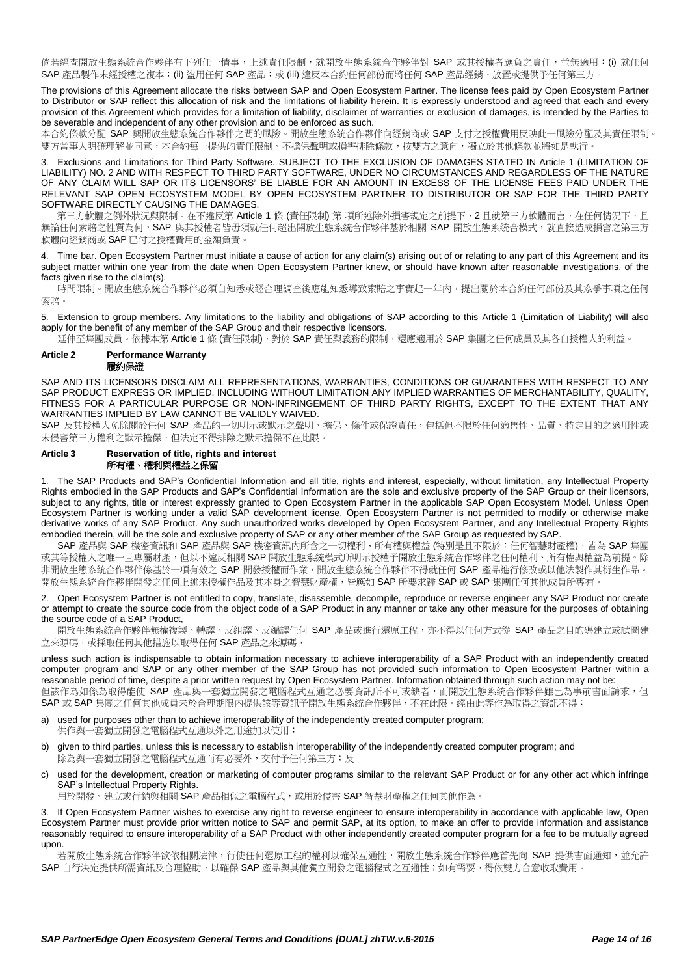倘若經查開放生態系統合作夥伴有下列任一情事,上述責任限制,就開放生態系統合作夥伴對 SAP 或其授權者應負之責任,並無適用: (i) 就任何 SAP 產品製作未經授權之複本;(ii) 盜用任何 SAP 產品;或 (iii) 違反本合約任何部份而將任何 SAP 產品經銷、放置或提供予任何第三方。

The provisions of this Agreement allocate the risks between SAP and Open Ecosystem Partner. The license fees paid by Open Ecosystem Partner to Distributor or SAP reflect this allocation of risk and the limitations of liability herein. It is expressly understood and agreed that each and every provision of this Agreement which provides for a limitation of liability, disclaimer of warranties or exclusion of damages, is intended by the Parties to be severable and independent of any other provision and to be enforced as such.

本合約條款分配 SAP 與開放生態系統合作夥伴之間的風險。開放生態系統合作夥伴向經銷商或 SAP 支付之授權費用反映此一風險分配及其責任限制。 雙方當事人明確理解並同意,本合約每一提供的責任限制、不擔保聲明或損害排除條款,按雙方之意向,獨立於其他條款並將如是執行。

3. Exclusions and Limitations for Third Party Software. SUBJECT TO THE EXCLUSION OF DAMAGES STATED IN [Article 1](#page-12-2) (LIMITATION OF LIABILITY) NO[. 2](#page-12-3) AND WITH RESPECT TO THIRD PARTY SOFTWARE, UNDER NO CIRCUMSTANCES AND REGARDLESS OF THE NATURE OF ANY CLAIM WILL SAP OR ITS LICENSORS' BE LIABLE FOR AN AMOUNT IN EXCESS OF THE LICENSE FEES PAID UNDER THE RELEVANT SAP OPEN ECOSYSTEM MODEL BY OPEN ECOSYSTEM PARTNER TO DISTRIBUTOR OR SAP FOR THE THIRD PARTY SOFTWARE DIRECTLY CAUSING THE DAMAGES.

第三方軟體之例外狀況與限制。在不違反第 [Article 1](#page-12-2) 條 (責任限制) 第 項所述除外損害規定之前提下,[2](#page-12-3) 且就第三方軟體而言,在任何情況下,且 無論任何索賠之性質為何,SAP 與其授權者皆毋須就任何超出開放生態系統合作夥伴基於相關 SAP 開放生態系統合模式,就直接造成損害之第三方 軟體向經銷商或 SAP 已付之授權費用的金額負責。

4. Time bar. Open Ecosystem Partner must initiate a cause of action for any claim(s) arising out of or relating to any part of this Agreement and its subject matter within one year from the date when Open Ecosystem Partner knew, or should have known after reasonable investigations, of the facts given rise to the claim(s).

時間限制。開放生態系統合作夥伴必須自知悉或經合理調查後應能知悉導致索賠之事實起一年內,提出關於本合約任何部份及其系爭事項之任何 索賠。

5. Extension to group members. Any limitations to the liability and obligations of SAP according to this [Article 1](#page-12-2) (Limitation of Liability) will also apply for the benefit of any member of the SAP Group and their respective licensors.

延伸至集團成員。依據本第 [Article 1](#page-12-2) 條 (責任限制),對於 SAP 責任與義務的限制,還應適用於 SAP 集團之任何成員及其各自授權人的利益。

# <span id="page-13-1"></span>**Article 2 Performance Warranty**

履約保證

SAP AND ITS LICENSORS DISCLAIM ALL REPRESENTATIONS, WARRANTIES, CONDITIONS OR GUARANTEES WITH RESPECT TO ANY SAP PRODUCT EXPRESS OR IMPLIED, INCLUDING WITHOUT LIMITATION ANY IMPLIED WARRANTIES OF MERCHANTABILITY, QUALITY, FITNESS FOR A PARTICULAR PURPOSE OR NON-INFRINGEMENT OF THIRD PARTY RIGHTS, EXCEPT TO THE EXTENT THAT ANY WARRANTIES IMPLIED BY LAW CANNOT BE VALIDLY WAIVED.

SAP 及其授權人免除關於任何 SAP 產品的一切明示或默示之聲明、擔保、條件或保證責任,包括但不限於任何適售性、品質、特定目的之適用性或 未侵害第三方權利之默示擔保,但法定不得排除之默示擔保不在此限。

#### <span id="page-13-0"></span>**Article 3 Reservation of title, rights and interest** 所有權、權利與權益之保留

1. The SAP Products and SAP's Confidential Information and all title, rights and interest, especially, without limitation, any Intellectual Property Rights embodied in the SAP Products and SAP's Confidential Information are the sole and exclusive property of the SAP Group or their licensors, subject to any rights, title or interest expressly granted to Open Ecosystem Partner in the applicable SAP Open Ecosystem Model. Unless Open Ecosystem Partner is working under a valid SAP development license, Open Ecosystem Partner is not permitted to modify or otherwise make derivative works of any SAP Product. Any such unauthorized works developed by Open Ecosystem Partner, and any Intellectual Property Rights embodied therein, will be the sole and exclusive property of SAP or any other member of the SAP Group as requested by SAP.

SAP 產品與 SAP 機密資訊和 SAP 產品與 SAP 機密資訊內所含之一切權利、所有權與權益 (特別是且不限於:任何智慧財產權), 皆為 SAP 集團 或其等授權人之唯一且專屬財產,但以不違反相關 SAP 開放生態系統模式所明示授權予開放生態系統合作夥伴之任何權利、所有權與權益為前提。除 非開放生態系統合作夥伴係基於一項有效之 SAP 開發授權而作業,開放生態系統合作夥伴不得就任何 SAP 產品進行修改或以他法製作其衍生作品。 開放生態系統合作夥伴開發之任何上述未授權作品及其本身之智慧財產權,皆應如 SAP 所要求歸 SAP 或 SAP 集團任何其他成員所專有。

2. Open Ecosystem Partner is not entitled to copy, translate, disassemble, decompile, reproduce or reverse engineer any SAP Product nor create or attempt to create the source code from the object code of a SAP Product in any manner or take any other measure for the purposes of obtaining the source code of a SAP Product,

開放生態系統合作夥伴無權複製、轉譯、反組譯、反編譯任何 SAP 產品或進行還原工程,亦不得以任何方式從 SAP 產品之目的碼建立或試圖建 立來源碼,或採取任何其他措施以取得任何 SAP 產品之來源碼,

unless such action is indispensable to obtain information necessary to achieve interoperability of a SAP Product with an independently created computer program and SAP or any other member of the SAP Group has not provided such information to Open Ecosystem Partner within a reasonable period of time, despite a prior written request by Open Ecosystem Partner. Information obtained through such action may not be: 但該作為如係為取得能使 SAP 產品與一套獨立開發之電腦程式互通之必要資訊所不可或缺者,而開放生態系統合作夥伴雖已為事前書面請求,但 SAP 或 SAP 集團之任何其他成員未於合理期限內提供該等資訊予開放生態系統合作夥伴,不在此限。經由此等作為取得之資訊不得:

- a) used for purposes other than to achieve interoperability of the independently created computer program; 供作與一套獨立開發之電腦程式互通以外之用途加以使用;
- b) given to third parties, unless this is necessary to establish interoperability of the independently created computer program; and 。<br>除為與一套獨立開發之電腦程式互通而有必要外,交付予任何第三方;及
- c) used for the development, creation or marketing of computer programs similar to the relevant SAP Product or for any other act which infringe SAP's Intellectual Property Rights.

用於開發、建立或行銷與相關 SAP 產品相似之電腦程式,或用於侵害 SAP 智慧財產權之任何其他作為。

3. If Open Ecosystem Partner wishes to exercise any right to reverse engineer to ensure interoperability in accordance with applicable law, Open Ecosystem Partner must provide prior written notice to SAP and permit SAP, at its option, to make an offer to provide information and assistance reasonably required to ensure interoperability of a SAP Product with other independently created computer program for a fee to be mutually agreed upon.

若開放生態系統合作夥伴欲依相關法律,行使任何還原工程的權利以確保互通性,開放生態系統合作夥伴應首先向 SAP 提供書面通知,並允許 SAP 自行決定提供所需資訊及合理協助,以確保 SAP 產品與其他獨立開發之電腦程式之互通性;如有需要,得依雙方合意收取費用。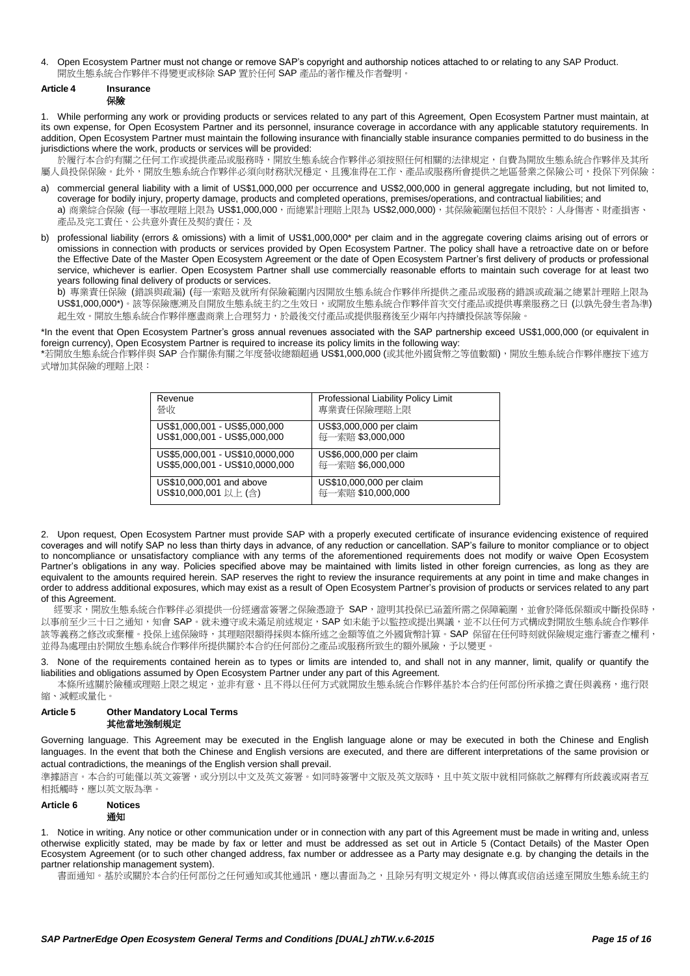4. Open Ecosystem Partner must not change or remove SAP's copyright and authorship notices attached to or relating to any SAP Product. 開放生態系統合作夥伴不得變更或移除 SAP 置於任何 SAP 產品的著作權及作者聲明。

#### **Article 4 Insurance** 保險

1. While performing any work or providing products or services related to any part of this Agreement, Open Ecosystem Partner must maintain, at its own expense, for Open Ecosystem Partner and its personnel, insurance coverage in accordance with any applicable statutory requirements. In addition, Open Ecosystem Partner must maintain the following insurance with financially stable insurance companies permitted to do business in the jurisdictions where the work, products or services will be provided:

於履行本合約有關之任何工作或提供產品或服務時,開放生態系統合作夥伴必須按照任何相關的法律規定,自費為開放生態系統合作夥伴及其所 屬人員投保保險。此外,開放生態系統合作夥伴必須向財務狀況穩定、且獲准得在工作、產品或服務所會提供之地區營業之保險公司,投保下列保險:

- commercial general liability with a limit of US\$1,000,000 per occurrence and US\$2,000,000 in general aggregate including, but not limited to, coverage for bodily injury, property damage, products and completed operations, premises/operations, and contractual liabilities; and a) 商業綜合保險 (每一事故理賠上限為 US\$1,000,000,而總累計理賠上限為 US\$2,000,000),其保險範圍包括但不限於:人身傷害、財產損害、 產品及完工責任、公共意外責任及契約責任;及
- b) professional liability (errors & omissions) with a limit of US\$1,000,000\* per claim and in the aggregate covering claims arising out of errors or omissions in connection with products or services provided by Open Ecosystem Partner. The policy shall have a retroactive date on or before the Effective Date of the Master Open Ecosystem Agreement or the date of Open Ecosystem Partner's first delivery of products or professional service, whichever is earlier. Open Ecosystem Partner shall use commercially reasonable efforts to maintain such coverage for at least two years following final delivery of products or services.

b) 專業責任保險 (錯誤與疏漏) (每一索賠及就所有保險範圍內因開放生態系統合作夥伴所提供之產品或服務的錯誤或疏漏之總累計理賠上限為 US\$1,000,000\*)。該等保險應溯及自開放生態系統主約之生效日,或開放生態系統合作夥伴首次交付產品或提供專業服務之日(以孰先發生者為準) 起生效。開放生態系統合作夥伴應盡商業上合理努力,於最後交付產品或提供服務後至少兩年內持續投保該等保險。

\*In the event that Open Ecosystem Partner's gross annual revenues associated with the SAP partnership exceed US\$1,000,000 (or equivalent in foreign currency), Open Ecosystem Partner is required to increase its policy limits in the following way:

\*若開放生態系統合作夥伴與 SAP 合作關係有關之年度營收總額超過 US\$1,000,000 (或其他外國貨幣之等值數額),開放生態系統合作夥伴應按下述方 式增加其保險的理賠上限:

| Revenue                         | Professional Liability Policy Limit |
|---------------------------------|-------------------------------------|
| 營收                              | 專業責任保險理賠上限                          |
| US\$1,000,001 - US\$5,000,000   | US\$3,000,000 per claim             |
| US\$1,000,001 - US\$5,000,000   | 每一索賠 \$3,000,000                    |
| US\$5,000,001 - US\$10,0000,000 | US\$6,000,000 per claim             |
| US\$5,000,001 - US\$10,0000,000 | 每一索賠 \$6,000,000                    |
| US\$10,000,001 and above        | US\$10,000,000 per claim            |
| US\$10,000,001 以上 (含)           | 每一索賠 \$10,000,000                   |

2. Upon request, Open Ecosystem Partner must provide SAP with a properly executed certificate of insurance evidencing existence of required coverages and will notify SAP no less than thirty days in advance, of any reduction or cancellation. SAP's failure to monitor compliance or to object to noncompliance or unsatisfactory compliance with any terms of the aforementioned requirements does not modify or waive Open Ecosystem Partner's obligations in any way. Policies specified above may be maintained with limits listed in other foreign currencies, as long as they are equivalent to the amounts required herein. SAP reserves the right to review the insurance requirements at any point in time and make changes in order to address additional exposures, which may exist as a result of Open Ecosystem Partner's provision of products or services related to any part of this Agreement.

。<br>經要求,開放生態系統合作夥伴必須提供一份經適當簽署之保險憑證予 SAP,證明其投保已涵蓋所需之保障範圍,並會於降低保額或中斷投保時, 以事前至少三十日之通知,知會 SAP。就未遵守或未滿足前述規定, SAP 如未能予以監控或提出異議,並不以任何方式構成對開放生態系統合作夥伴 該等義務之修改或棄權。投保上述保險時,其理賠限額得採與本條所述之金額等值之外國貨幣計算。SAP 保留在任何時刻就保險規定進行審查之權利, 並得為處理由於開放生態系統合作夥伴所提供關於本合約任何部份之產品或服務所致生的額外風險,予以變更。

None of the requirements contained herein as to types or limits are intended to, and shall not in any manner, limit, qualify or quantify the liabilities and obligations assumed by Open Ecosystem Partner under any part of this Agreement.

本條所述關於險種或理賠上限之規定,並非有意、且不得以任何方式就開放生態系統合作夥伴基於本合約任何部份所承擔之責任與義務,進行限 縮、減輕或量化。

## **Article 5 Other Mandatory Local Terms** 其他當地強制規定

Governing language. This Agreement may be executed in the English language alone or may be executed in both the Chinese and English languages. In the event that both the Chinese and English versions are executed, and there are different interpretations of the same provision or actual contradictions, the meanings of the English version shall prevail.

準據語言。本合約可能僅以英文簽署,或分別以中文及英文簽署。如同時簽署中文版及英文版時,且中英文版中就相同條款之解釋有所歧義或兩者互 相抵觸時,應以英文版為準。

# <span id="page-14-0"></span>**Article 6 Notices** 通知

1. Notice in writing. Any notice or other communication under or in connection with any part of this Agreement must be made in writing and, unless otherwise explicitly stated, may be made by fax or letter and must be addressed as set out in Article 5 (Contact Details) of the Master Open Ecosystem Agreement (or to such other changed address, fax number or addressee as a Party may designate e.g. by changing the details in the partner relationship management system).

書面通知。基於或關於本合約任何部份之任何通知或其他通訊,應以書面為之,且除另有明文規定外,得以傳真或信函送達至開放生態系統主約